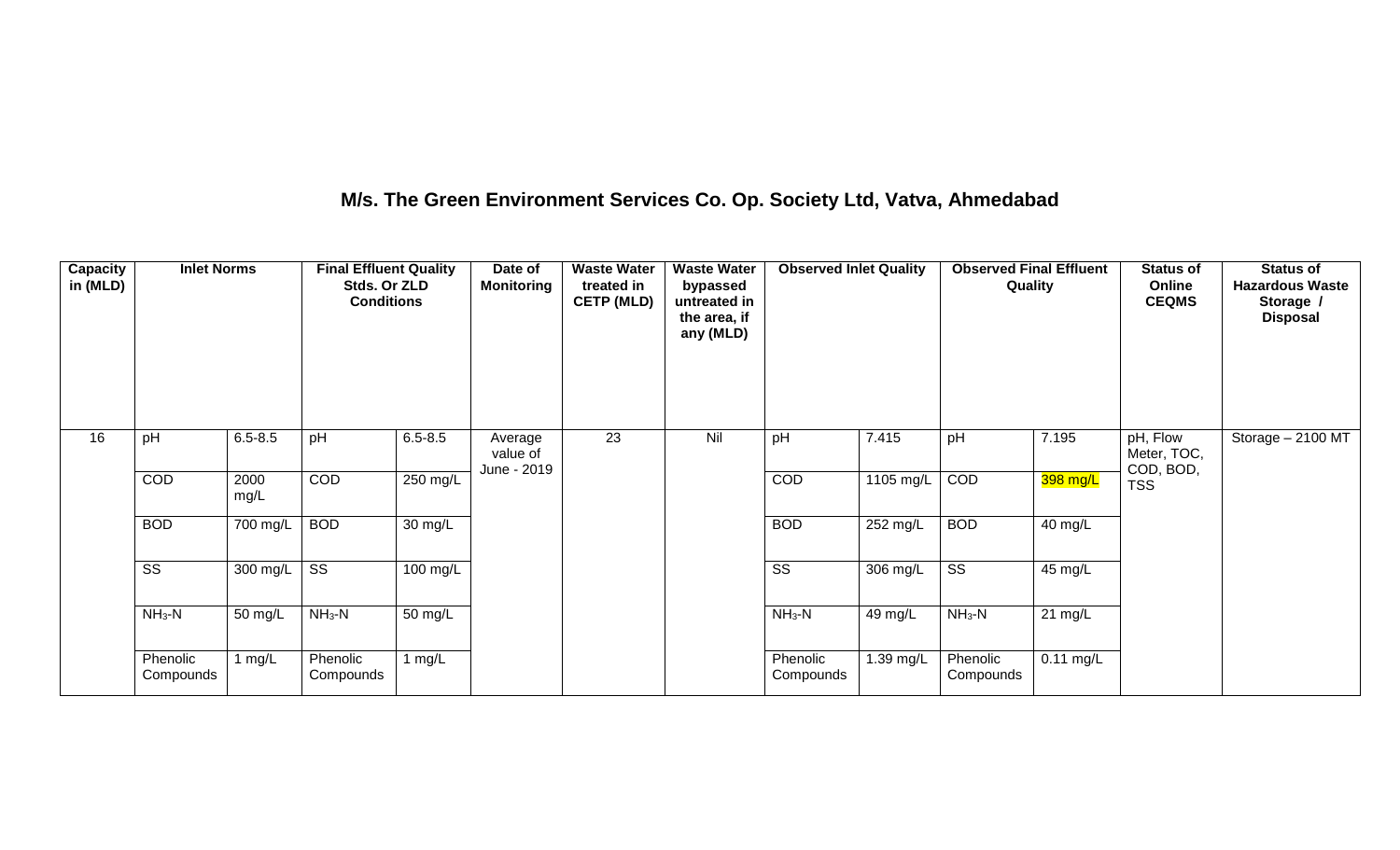## **M/s. The Green Environment Services Co. Op. Society Ltd, Vatva, Ahmedabad**

| Capacity<br>in (MLD) | <b>Inlet Norms</b>     |              | <b>Final Effluent Quality</b><br>Stds. Or ZLD<br><b>Conditions</b> |                    | Date of<br><b>Monitoring</b>       | <b>Waste Water</b><br>treated in<br><b>CETP (MLD)</b> | <b>Waste Water</b><br>bypassed<br>untreated in<br>the area, if<br>any (MLD) | <b>Observed Inlet Quality</b> |                    | <b>Observed Final Effluent</b><br>Quality |                      | <b>Status of</b><br>Online<br><b>CEQMS</b> | <b>Status of</b><br><b>Hazardous Waste</b><br>Storage /<br><b>Disposal</b> |
|----------------------|------------------------|--------------|--------------------------------------------------------------------|--------------------|------------------------------------|-------------------------------------------------------|-----------------------------------------------------------------------------|-------------------------------|--------------------|-------------------------------------------|----------------------|--------------------------------------------|----------------------------------------------------------------------------|
| 16                   | pH                     | $6.5 - 8.5$  | pH                                                                 | $6.5 - 8.5$        | Average<br>value of<br>June - 2019 | 23                                                    | Nil                                                                         | pH                            | 7.415              | pH                                        | 7.195                | pH, Flow<br>Meter, TOC,<br>COD, BOD,       | Storage $-2100$ MT                                                         |
|                      | COD                    | 2000<br>mg/L | COD                                                                | 250 mg/L           |                                    |                                                       |                                                                             | COD                           | 1105 mg/L          | COD                                       | 398 mg/L             | <b>TSS</b>                                 |                                                                            |
|                      | <b>BOD</b>             | 700 mg/L     | <b>BOD</b>                                                         | 30 mg/L            |                                    |                                                       |                                                                             | <b>BOD</b>                    | $252 \text{ mg/L}$ | <b>BOD</b>                                | $\overline{40}$ mg/L |                                            |                                                                            |
|                      | $\overline{\text{ss}}$ | 300 mg/L     | $\overline{\text{ss}}$                                             | $100 \text{ mg/L}$ |                                    |                                                       |                                                                             | $\overline{\text{ss}}$        | $306 \text{ mg/L}$ | $\overline{\text{ss}}$                    | 45 mg/L              |                                            |                                                                            |
|                      | $NH3-N$                | 50 mg/L      | $NH3-N$                                                            | 50 mg/L            |                                    |                                                       |                                                                             | $NH3-N$                       | 49 mg/L            | $NH3-N$                                   | $21 \text{ mg/L}$    |                                            |                                                                            |
|                      | Phenolic<br>Compounds  | 1 $mg/L$     | Phenolic<br>Compounds                                              | 1 $mg/L$           |                                    |                                                       |                                                                             | Phenolic<br>Compounds         | 1.39 mg/L          | Phenolic<br>Compounds                     | $0.11$ mg/L          |                                            |                                                                            |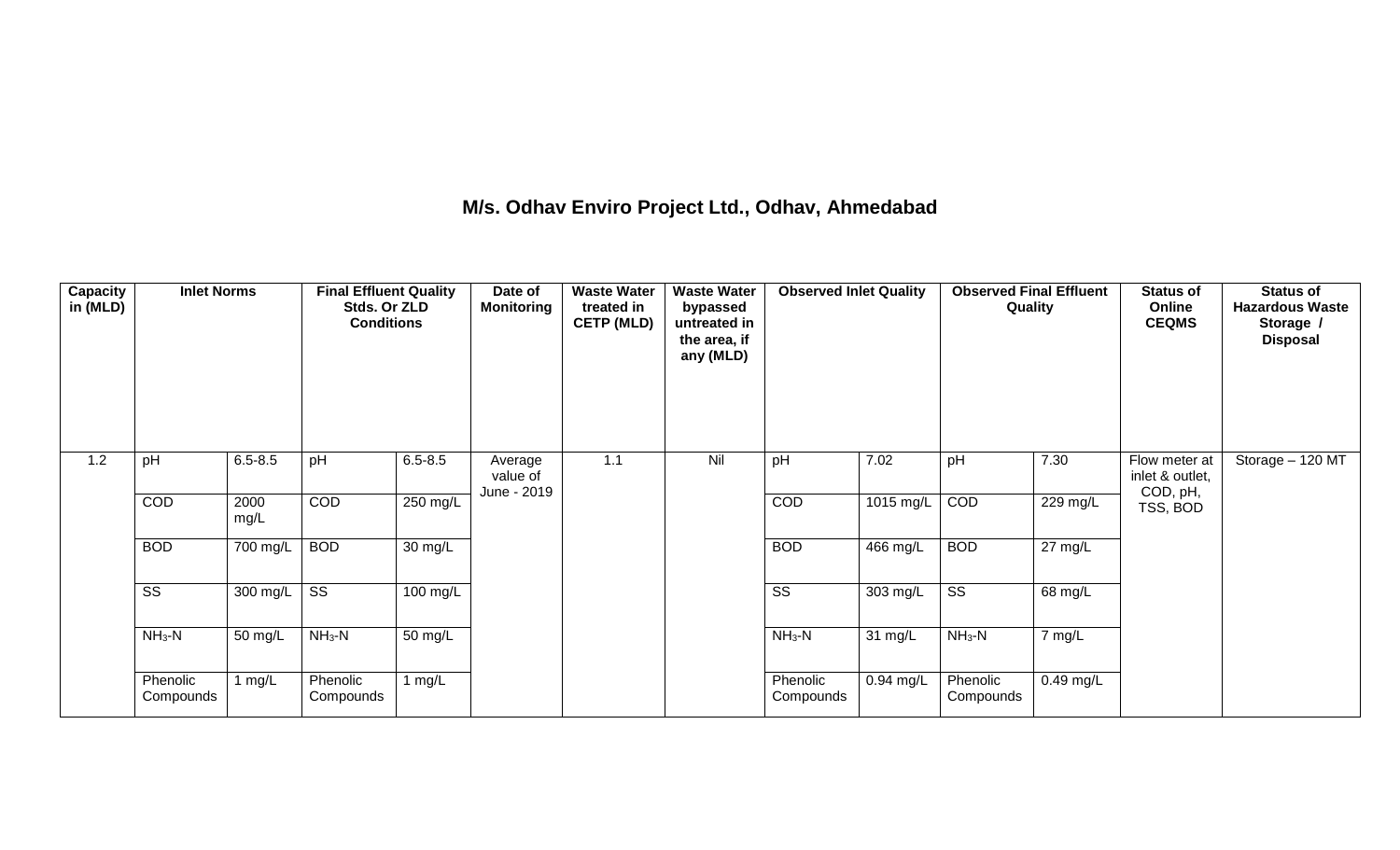## **M/s. Odhav Enviro Project Ltd., Odhav, Ahmedabad**

| Capacity<br>in (MLD) | <b>Inlet Norms</b>     |              | <b>Final Effluent Quality</b><br>Stds. Or ZLD<br><b>Conditions</b> |                    | Date of<br><b>Monitoring</b>       | <b>Waste Water</b><br>treated in<br><b>CETP (MLD)</b> | <b>Waste Water</b><br>bypassed<br>untreated in<br>the area, if<br>any (MLD) | <b>Observed Inlet Quality</b> |             | <b>Observed Final Effluent</b><br>Quality |                       | <b>Status of</b><br>Online<br><b>CEQMS</b>   | <b>Status of</b><br><b>Hazardous Waste</b><br>Storage /<br><b>Disposal</b> |
|----------------------|------------------------|--------------|--------------------------------------------------------------------|--------------------|------------------------------------|-------------------------------------------------------|-----------------------------------------------------------------------------|-------------------------------|-------------|-------------------------------------------|-----------------------|----------------------------------------------|----------------------------------------------------------------------------|
| 1.2                  | pH                     | $6.5 - 8.5$  | pH                                                                 | $6.5 - 8.5$        | Average<br>value of<br>June - 2019 | 1.1                                                   | Nil                                                                         | pH                            | 7.02        | pH                                        | 7.30                  | Flow meter at<br>inlet & outlet,<br>COD, pH, | Storage - 120 MT                                                           |
|                      | COD                    | 2000<br>mg/L | COD                                                                | 250 mg/L           |                                    |                                                       |                                                                             | COD                           | $1015$ mg/L | COD                                       | $\overline{229}$ mg/L | TSS, BOD                                     |                                                                            |
|                      | <b>BOD</b>             | 700 mg/L     | <b>BOD</b>                                                         | 30 mg/L            |                                    |                                                       |                                                                             | <b>BOD</b>                    | 466 mg/L    | <b>BOD</b>                                | $27 \text{ mg/L}$     |                                              |                                                                            |
|                      | $\overline{\text{ss}}$ | 300 mg/L     | $\overline{\text{ss}}$                                             | $100 \text{ mg/L}$ |                                    |                                                       |                                                                             | $\overline{\text{ss}}$        | 303 mg/L    | $\overline{\text{ss}}$                    | 68 mg/L               |                                              |                                                                            |
|                      | $NH3-N$                | 50 mg/L      | $NH3-N$                                                            | 50 mg/L            |                                    |                                                       |                                                                             | $NH_3-N$                      | 31 mg/L     | $NH3-N$                                   | 7 mg/L                |                                              |                                                                            |
|                      | Phenolic<br>Compounds  | 1 $mg/L$     | Phenolic<br>Compounds                                              | 1 $mg/L$           |                                    |                                                       |                                                                             | Phenolic<br>Compounds         | $0.94$ mg/L | Phenolic<br>Compounds                     | $0.49$ mg/L           |                                              |                                                                            |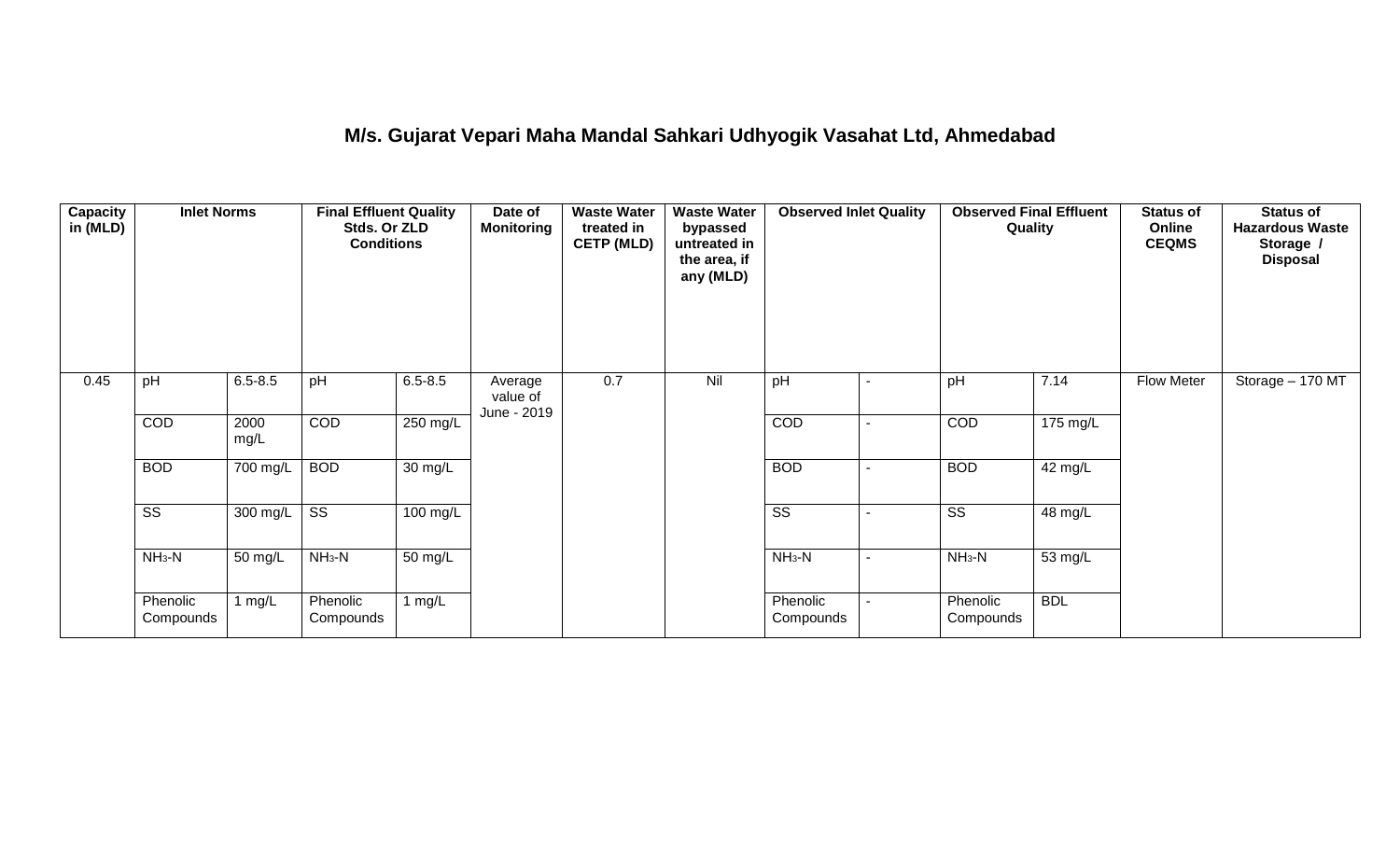## **M/s. Gujarat Vepari Maha Mandal Sahkari Udhyogik Vasahat Ltd, Ahmedabad**

| Capacity<br>in (MLD) | <b>Inlet Norms</b>     |              | <b>Final Effluent Quality</b><br>Stds. Or ZLD<br><b>Conditions</b> |                      | Date of<br><b>Monitoring</b>       | <b>Waste Water</b><br>treated in<br><b>CETP (MLD)</b> | <b>Waste Water</b><br>bypassed<br>untreated in<br>the area, if<br>any (MLD) | <b>Observed Inlet Quality</b> |                          | <b>Observed Final Effluent</b><br>Quality |            | <b>Status of</b><br>Online<br><b>CEQMS</b> | <b>Status of</b><br><b>Hazardous Waste</b><br>Storage /<br><b>Disposal</b> |
|----------------------|------------------------|--------------|--------------------------------------------------------------------|----------------------|------------------------------------|-------------------------------------------------------|-----------------------------------------------------------------------------|-------------------------------|--------------------------|-------------------------------------------|------------|--------------------------------------------|----------------------------------------------------------------------------|
| 0.45                 | pH                     | $6.5 - 8.5$  | pH                                                                 | $6.5 - 8.5$          | Average<br>value of<br>June - 2019 | 0.7                                                   | Nil                                                                         | pH                            | $\overline{\phantom{a}}$ | pH                                        | 7.14       | <b>Flow Meter</b>                          | Storage - 170 MT                                                           |
|                      | COD                    | 2000<br>mg/L | COD                                                                | $250 \text{ mg/L}$   |                                    |                                                       |                                                                             | COD                           |                          | COD                                       | 175 mg/L   |                                            |                                                                            |
|                      | <b>BOD</b>             | 700 mg/L     | <b>BOD</b>                                                         | 30 mg/L              |                                    |                                                       |                                                                             | <b>BOD</b>                    | $\overline{\phantom{0}}$ | <b>BOD</b>                                | 42 mg/L    |                                            |                                                                            |
|                      | $\overline{\text{ss}}$ | $300$ mg/L   | $\overline{\text{ss}}$                                             | 100 mg/L             |                                    |                                                       |                                                                             | $\overline{\text{ss}}$        | -                        | $\overline{\text{SS}}$                    | 48 mg/L    |                                            |                                                                            |
|                      | $NH3-N$                | 50 mg/L      | $NH3-N$                                                            | $\overline{50}$ mg/L |                                    |                                                       |                                                                             | $NH3-N$                       | $\blacksquare$           | $NH3-N$                                   | 53 mg/L    |                                            |                                                                            |
|                      | Phenolic<br>Compounds  | 1 $mg/L$     | Phenolic<br>Compounds                                              | 1 mg/L               |                                    |                                                       |                                                                             | Phenolic<br>Compounds         | $\blacksquare$           | Phenolic<br>Compounds                     | <b>BDL</b> |                                            |                                                                            |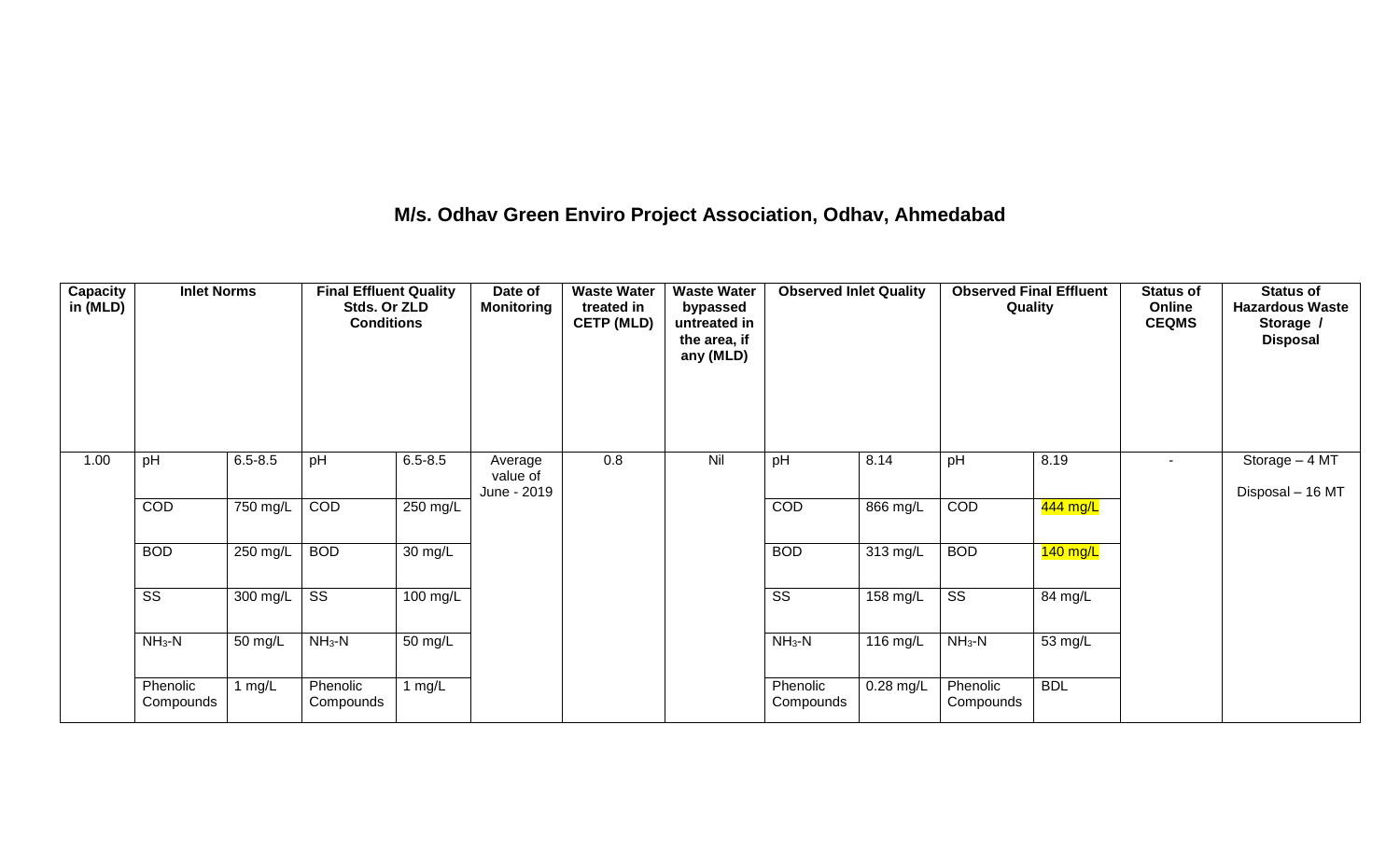## **M/s. Odhav Green Enviro Project Association, Odhav, Ahmedabad**

| Capacity<br>in (MLD) | <b>Inlet Norms</b>     |             | <b>Final Effluent Quality</b><br>Stds. Or ZLD<br><b>Conditions</b> |             | Date of<br><b>Monitoring</b>       | <b>Waste Water</b><br>treated in<br><b>CETP (MLD)</b> | <b>Waste Water</b><br>bypassed<br>untreated in<br>the area, if<br>any (MLD) | <b>Observed Inlet Quality</b> |                    | <b>Observed Final Effluent</b><br>Quality |            | <b>Status of</b><br>Online<br><b>CEQMS</b> | <b>Status of</b><br><b>Hazardous Waste</b><br>Storage /<br><b>Disposal</b> |
|----------------------|------------------------|-------------|--------------------------------------------------------------------|-------------|------------------------------------|-------------------------------------------------------|-----------------------------------------------------------------------------|-------------------------------|--------------------|-------------------------------------------|------------|--------------------------------------------|----------------------------------------------------------------------------|
| 1.00                 | pH                     | $6.5 - 8.5$ | pH                                                                 | $6.5 - 8.5$ | Average<br>value of<br>June - 2019 | 0.8                                                   | Nil                                                                         | pH                            | 8.14               | pH                                        | 8.19       | ۰                                          | Storage - 4 MT<br>Disposal - 16 MT                                         |
|                      | COD                    | 750 mg/L    | COD                                                                | 250 mg/L    |                                    |                                                       |                                                                             | COD                           | 866 mg/L           | COD                                       | 444 mg/L   |                                            |                                                                            |
|                      | <b>BOD</b>             | 250 mg/L    | <b>BOD</b>                                                         | 30 mg/L     |                                    |                                                       |                                                                             | <b>BOD</b>                    | $313 \text{ mg/L}$ | <b>BOD</b>                                | 140 mg/L   |                                            |                                                                            |
|                      | $\overline{\text{ss}}$ | 300 mg/L    | $\overline{\text{ss}}$                                             | 100 mg/L    |                                    |                                                       |                                                                             | $\overline{\text{ss}}$        | 158 mg/L           | $\overline{\text{SS}}$                    | 84 mg/L    |                                            |                                                                            |
|                      | $NH_3-N$               | 50 mg/L     | $NH3-N$                                                            | 50 mg/L     |                                    |                                                       |                                                                             | $NH3-N$                       | 116 mg/L           | $NH3-N$                                   | 53 mg/L    |                                            |                                                                            |
|                      | Phenolic<br>Compounds  | 1 $mg/L$    | Phenolic<br>Compounds                                              | 1 $mg/L$    |                                    |                                                       |                                                                             | Phenolic<br>Compounds         | $0.28$ mg/L        | Phenolic<br>Compounds                     | <b>BDL</b> |                                            |                                                                            |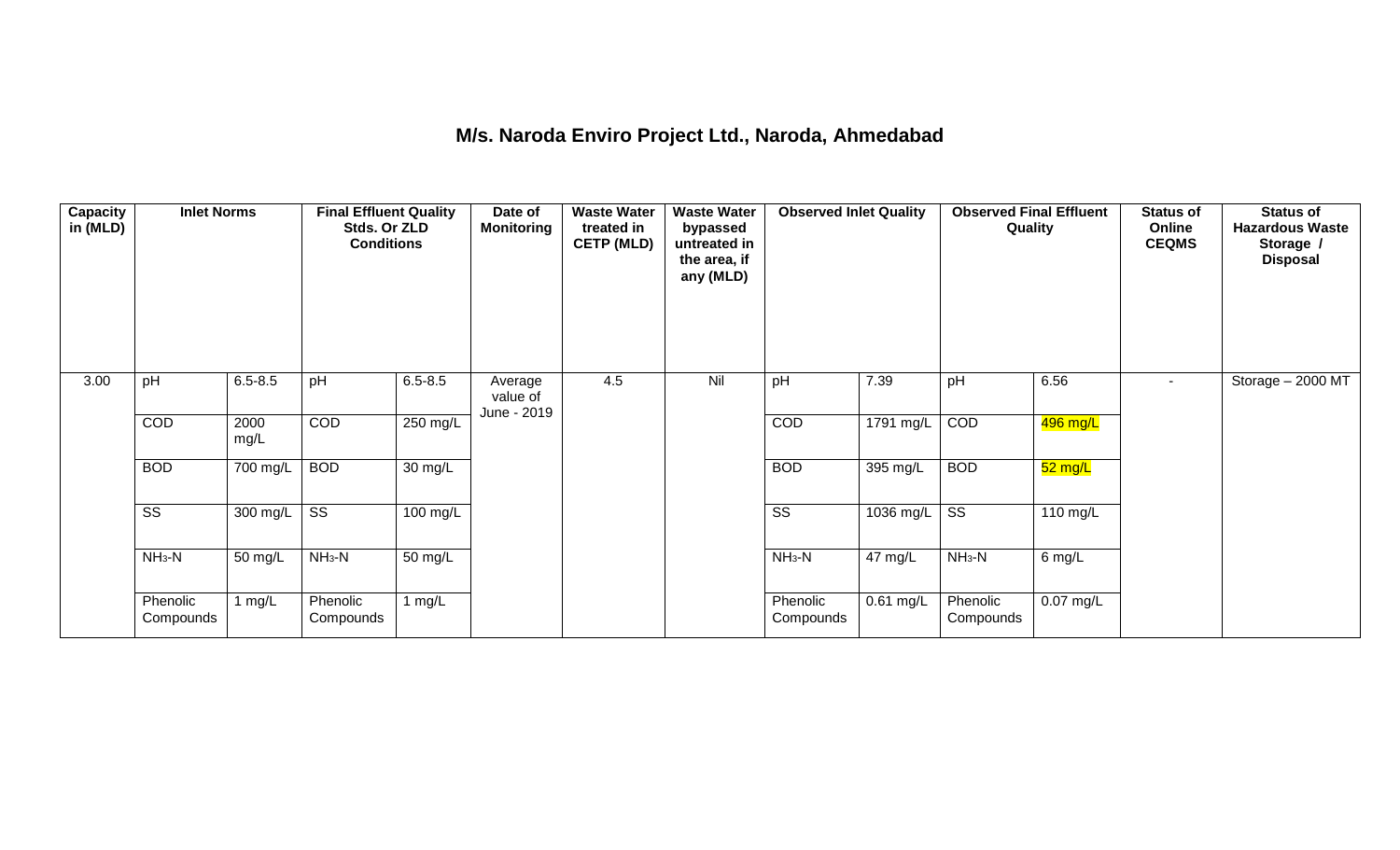## **M/s. Naroda Enviro Project Ltd., Naroda, Ahmedabad**

| <b>Capacity</b><br>in (MLD) | <b>Inlet Norms</b>     |                    | <b>Final Effluent Quality</b><br>Stds. Or ZLD<br><b>Conditions</b> |                    | Date of<br><b>Monitoring</b>       | <b>Waste Water</b><br>treated in<br><b>CETP (MLD)</b> | <b>Waste Water</b><br>bypassed<br>untreated in<br>the area, if<br>any (MLD) | <b>Observed Inlet Quality</b> |           | <b>Observed Final Effluent</b><br>Quality |             | <b>Status of</b><br>Online<br><b>CEQMS</b> | <b>Status of</b><br><b>Hazardous Waste</b><br>Storage /<br><b>Disposal</b> |
|-----------------------------|------------------------|--------------------|--------------------------------------------------------------------|--------------------|------------------------------------|-------------------------------------------------------|-----------------------------------------------------------------------------|-------------------------------|-----------|-------------------------------------------|-------------|--------------------------------------------|----------------------------------------------------------------------------|
| 3.00                        | pH                     | $6.5 - 8.5$        | pH                                                                 | $6.5 - 8.5$        | Average<br>value of<br>June - 2019 | 4.5                                                   | Nil                                                                         | pH                            | 7.39      | pH                                        | 6.56        | $\sim$                                     | Storage - 2000 MT                                                          |
|                             | COD                    | 2000<br>mg/L       | COD                                                                | $250$ mg/L         |                                    |                                                       |                                                                             | COD                           | 1791 mg/L | COD                                       | 496 mg/L    |                                            |                                                                            |
|                             | <b>BOD</b>             | 700 mg/L           | <b>BOD</b>                                                         | 30 mg/L            |                                    |                                                       |                                                                             | <b>BOD</b>                    | 395 mg/L  | <b>BOD</b>                                | 52 mg/L     |                                            |                                                                            |
|                             | $\overline{\text{ss}}$ | $300 \text{ mg/L}$ | $\overline{\text{ss}}$                                             | $100 \text{ mg/L}$ |                                    |                                                       |                                                                             | $\overline{\text{ss}}$        | 1036 mg/L | $\overline{\text{ss}}$                    | 110 mg/L    |                                            |                                                                            |
|                             | $NH3-N$                | 50 mg/L            | $NH3-N$                                                            | 50 mg/L            |                                    |                                                       |                                                                             | $NH3-N$                       | 47 mg/L   | $NH3-N$                                   | 6 mg/L      |                                            |                                                                            |
|                             | Phenolic<br>Compounds  | 1 mg/L             | Phenolic<br>Compounds                                              | 1 $mg/L$           |                                    |                                                       |                                                                             | Phenolic<br>Compounds         | 0.61 mg/L | Phenolic<br>Compounds                     | $0.07$ mg/L |                                            |                                                                            |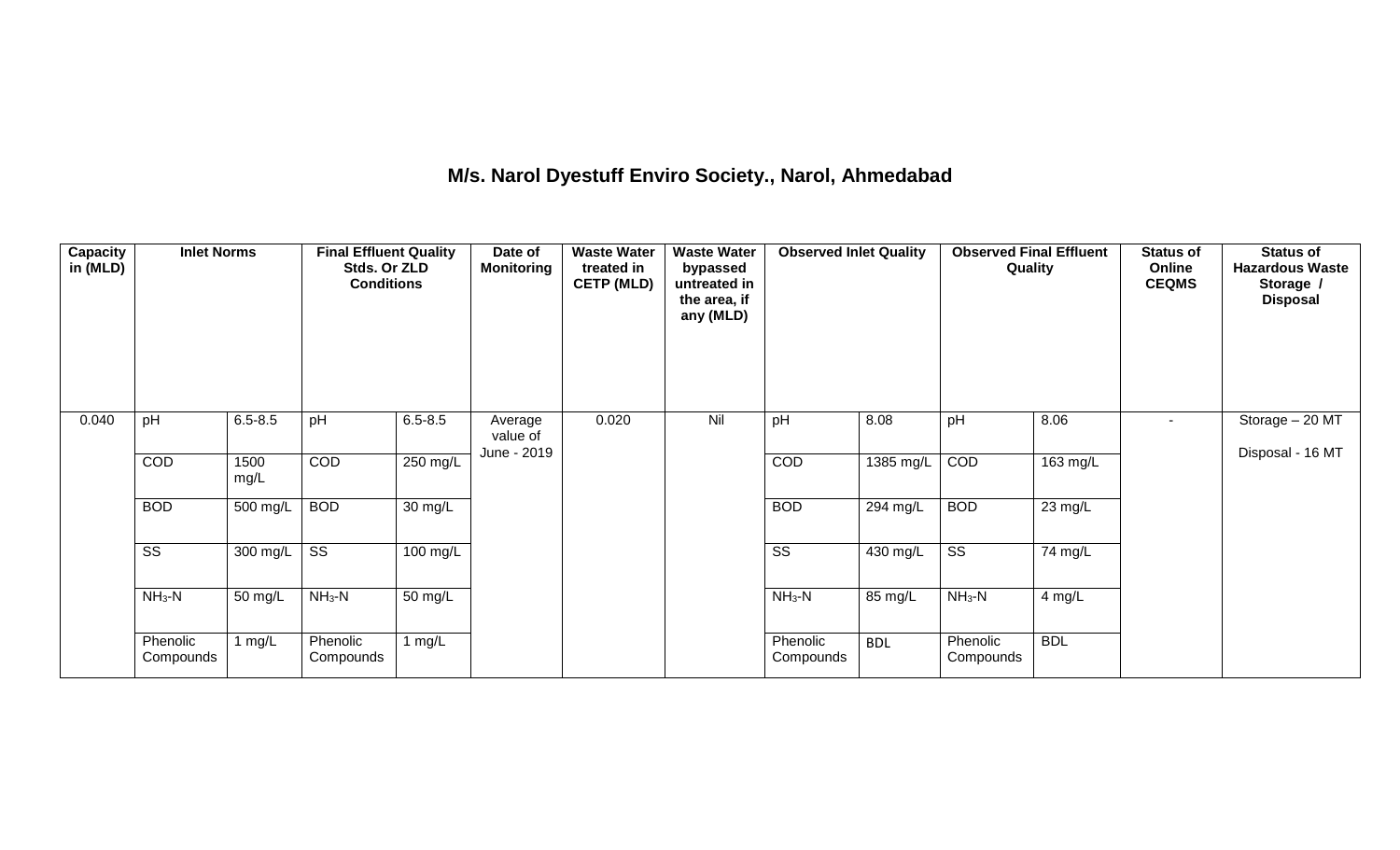## **M/s. Narol Dyestuff Enviro Society., Narol, Ahmedabad**

| Capacity<br>in (MLD) | <b>Inlet Norms</b>     |                        | <b>Final Effluent Quality</b><br>Stds. Or ZLD<br><b>Conditions</b> |                      | Date of<br><b>Monitoring</b>       | <b>Waste Water</b><br>treated in<br><b>CETP (MLD)</b> | <b>Waste Water</b><br>bypassed<br>untreated in<br>the area, if<br>any (MLD) | <b>Observed Inlet Quality</b> |                      | <b>Observed Final Effluent</b><br>Quality |            | <b>Status of</b><br>Online<br><b>CEQMS</b> | <b>Status of</b><br><b>Hazardous Waste</b><br>Storage /<br><b>Disposal</b> |
|----------------------|------------------------|------------------------|--------------------------------------------------------------------|----------------------|------------------------------------|-------------------------------------------------------|-----------------------------------------------------------------------------|-------------------------------|----------------------|-------------------------------------------|------------|--------------------------------------------|----------------------------------------------------------------------------|
| 0.040                | pH                     | $6.5 - 8.5$            | pH                                                                 | $6.5 - 8.5$          | Average<br>value of<br>June - 2019 | 0.020                                                 | Nil                                                                         | pH                            | 8.08                 | pH                                        | 8.06       | $\overline{\phantom{a}}$                   | Storage - 20 MT<br>Disposal - 16 MT                                        |
|                      | COD                    | 1500<br>mg/L           | COD                                                                | 250 mg/L             |                                    |                                                       |                                                                             | COD                           | 1385 mg/L            | COD                                       | 163 mg/L   |                                            |                                                                            |
|                      | <b>BOD</b>             | $500$ mg/L             | <b>BOD</b>                                                         | 30 mg/L              |                                    |                                                       |                                                                             | <b>BOD</b>                    | 294 mg/L             | <b>BOD</b>                                | 23 mg/L    |                                            |                                                                            |
|                      | $\overline{\text{ss}}$ | 300 mg/L               | $\overline{\text{ss}}$                                             | 100 mg/L             |                                    |                                                       |                                                                             | $\overline{\text{SS}}$        | 430 mg/L             | $\overline{\text{ss}}$                    | 74 mg/L    |                                            |                                                                            |
|                      | $NH3-N$                | 50 mg/L                | $NH3-N$                                                            | $\overline{50}$ mg/L |                                    |                                                       |                                                                             | $NH3-N$                       | $\overline{85}$ mg/L | $NH_3-N$                                  | 4 mg/L     |                                            |                                                                            |
|                      | Phenolic<br>Compounds  | $\lfloor mg/L \rfloor$ | Phenolic<br>Compounds                                              | 1 $mg/L$             |                                    |                                                       |                                                                             | Phenolic<br>Compounds         | <b>BDL</b>           | Phenolic<br>Compounds                     | <b>BDL</b> |                                            |                                                                            |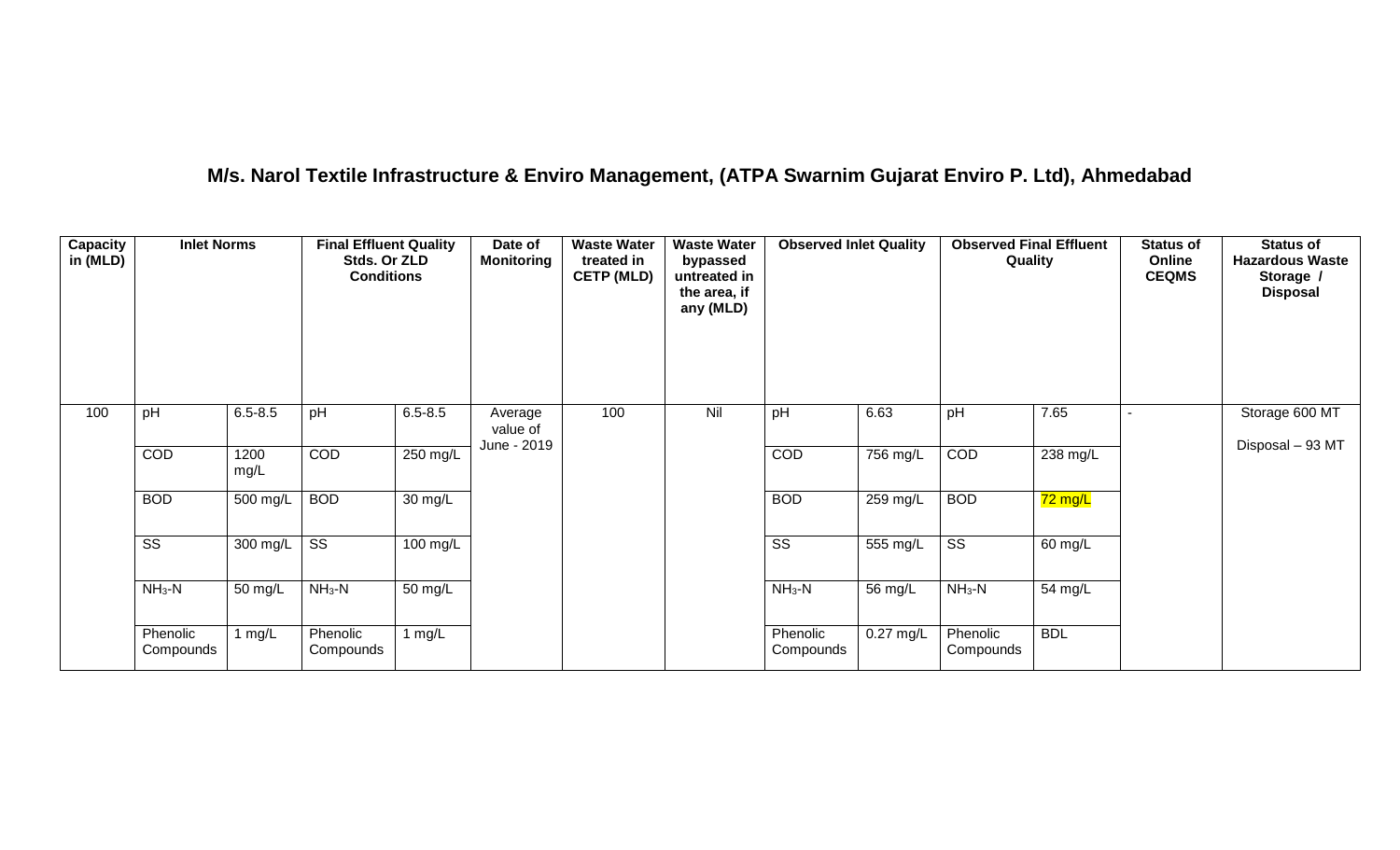## **M/s. Narol Textile Infrastructure & Enviro Management, (ATPA Swarnim Gujarat Enviro P. Ltd), Ahmedabad**

| Capacity<br>in (MLD) | <b>Inlet Norms</b>     |              | <b>Final Effluent Quality</b><br>Stds. Or ZLD<br><b>Conditions</b> |                   | Date of<br><b>Monitoring</b>       | <b>Waste Water</b><br>treated in<br><b>CETP (MLD)</b> | <b>Waste Water</b><br>bypassed<br>untreated in<br>the area, if<br>any (MLD) | <b>Observed Inlet Quality</b> |             | <b>Observed Final Effluent</b><br>Quality |            | <b>Status of</b><br>Online<br><b>CEQMS</b> | <b>Status of</b><br><b>Hazardous Waste</b><br>Storage /<br><b>Disposal</b> |
|----------------------|------------------------|--------------|--------------------------------------------------------------------|-------------------|------------------------------------|-------------------------------------------------------|-----------------------------------------------------------------------------|-------------------------------|-------------|-------------------------------------------|------------|--------------------------------------------|----------------------------------------------------------------------------|
| 100                  | pH                     | $6.5 - 8.5$  | pH                                                                 | $6.5 - 8.5$       | Average<br>value of<br>June - 2019 | 100                                                   | Nil                                                                         | pH                            | 6.63        | pH                                        | 7.65       |                                            | Storage 600 MT                                                             |
|                      | COD                    | 1200<br>mg/L | COD                                                                | 250 mg/L          |                                    |                                                       |                                                                             | COD                           | 756 mg/L    | COD                                       | 238 mg/L   |                                            | Disposal - 93 MT                                                           |
|                      | <b>BOD</b>             | 500 mg/L     | <b>BOD</b>                                                         | $30 \text{ mg/L}$ |                                    |                                                       |                                                                             | <b>BOD</b>                    | 259 mg/L    | <b>BOD</b>                                | 72 mg/L    |                                            |                                                                            |
|                      | $\overline{\text{ss}}$ | 300 mg/L     | $\overline{\text{ss}}$                                             | $100$ mg/L        |                                    |                                                       |                                                                             | $\overline{\text{ss}}$        | 555 mg/L    | $\overline{\text{ss}}$                    | 60 mg/L    |                                            |                                                                            |
|                      | $NH3-N$                | 50 mg/L      | $NH3-N$                                                            | 50 mg/L           |                                    |                                                       |                                                                             | $NH3-N$                       | 56 mg/L     | $NH_3-N$                                  | 54 mg/L    |                                            |                                                                            |
|                      | Phenolic<br>Compounds  | 1 mg/L       | Phenolic<br>Compounds                                              | 1 $mg/L$          |                                    |                                                       |                                                                             | Phenolic<br>Compounds         | $0.27$ mg/L | Phenolic<br>Compounds                     | <b>BDL</b> |                                            |                                                                            |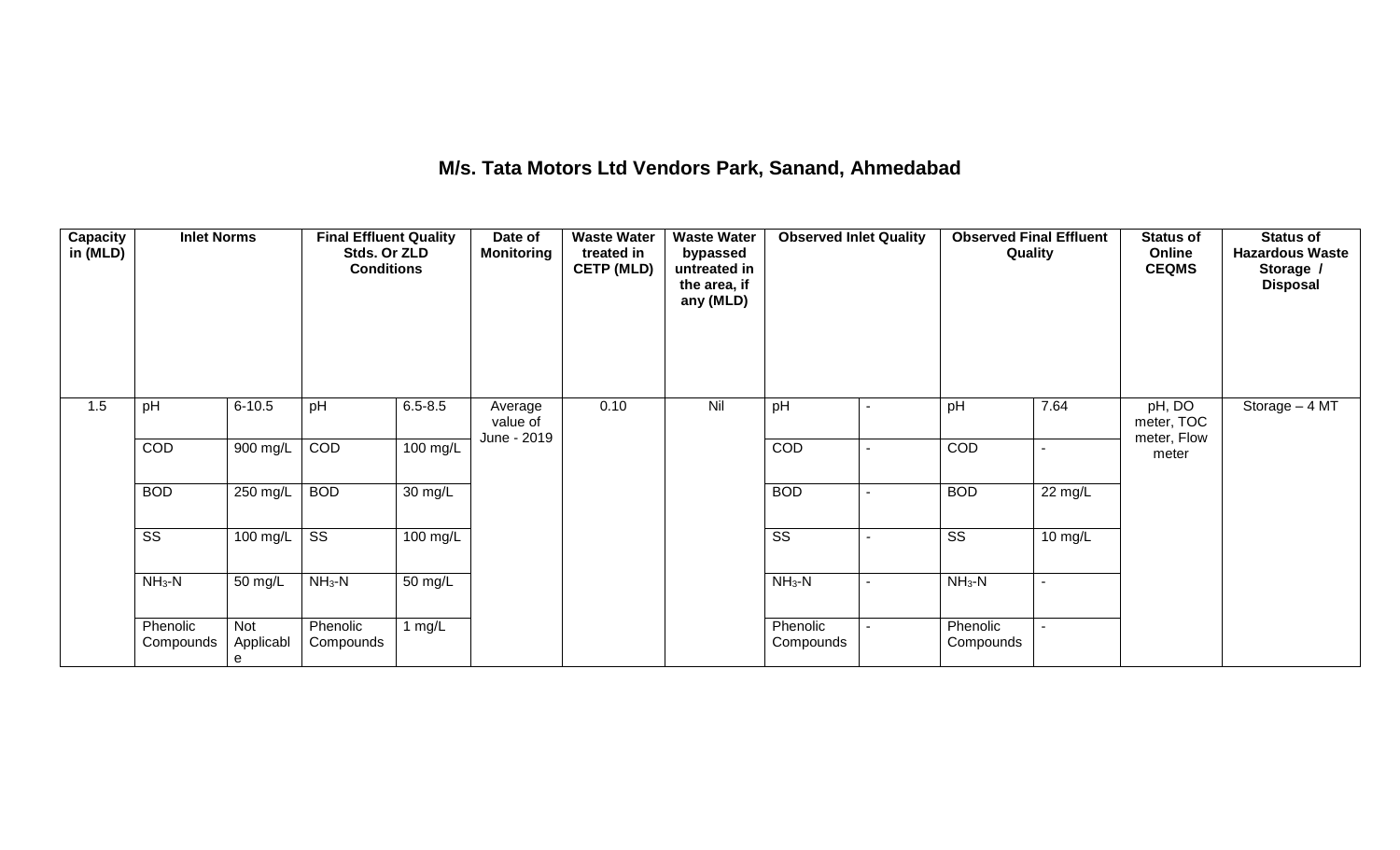## **M/s. Tata Motors Ltd Vendors Park, Sanand, Ahmedabad**

| Capacity<br>in (MLD) | <b>Inlet Norms</b>     |                       | <b>Final Effluent Quality</b><br>Stds. Or ZLD<br><b>Conditions</b> |                      | Date of<br><b>Monitoring</b>       | <b>Waste Water</b><br>treated in<br><b>CETP (MLD)</b> | <b>Waste Water</b><br>bypassed<br>untreated in<br>the area, if<br>any (MLD) | <b>Observed Inlet Quality</b> | <b>Observed Final Effluent</b><br>Quality |                      | <b>Status of</b><br>Online<br><b>CEQMS</b> | <b>Status of</b><br><b>Hazardous Waste</b><br>Storage /<br><b>Disposal</b> |
|----------------------|------------------------|-----------------------|--------------------------------------------------------------------|----------------------|------------------------------------|-------------------------------------------------------|-----------------------------------------------------------------------------|-------------------------------|-------------------------------------------|----------------------|--------------------------------------------|----------------------------------------------------------------------------|
| 1.5                  | pH                     | $6 - 10.5$            | pH                                                                 | $6.5 - 8.5$          | Average<br>value of<br>June - 2019 | 0.10                                                  | Nil                                                                         | pH                            | pH                                        | 7.64                 | pH, DO<br>meter, TOC<br>meter, Flow        | Storage $-4$ MT                                                            |
|                      | COD                    | $900$ mg/L            | COD                                                                | $100$ mg/L           |                                    |                                                       |                                                                             | COD                           | COD                                       | ٠                    | meter                                      |                                                                            |
|                      | <b>BOD</b>             | 250 mg/L              | <b>BOD</b>                                                         | $\overline{30}$ mg/L |                                    |                                                       |                                                                             | <b>BOD</b>                    | <b>BOD</b>                                | $\overline{22}$ mg/L |                                            |                                                                            |
|                      | $\overline{\text{SS}}$ | 100 mg/L              | $\overline{\text{ss}}$                                             | $100 \text{ mg/L}$   |                                    |                                                       |                                                                             | $\overline{\text{SS}}$        | $\overline{\text{SS}}$                    | 10 mg/L              |                                            |                                                                            |
|                      | $NH3-N$                | 50 mg/L               | $NH3-N$                                                            | 50 mg/L              |                                    |                                                       |                                                                             | $NH3-N$                       | $NH_3-N$                                  | $\blacksquare$       |                                            |                                                                            |
|                      | Phenolic<br>Compounds  | Not<br>Applicabl<br>e | Phenolic<br>Compounds                                              | 1 $mg/L$             |                                    |                                                       |                                                                             | Phenolic<br>Compounds         | Phenolic<br>Compounds                     |                      |                                            |                                                                            |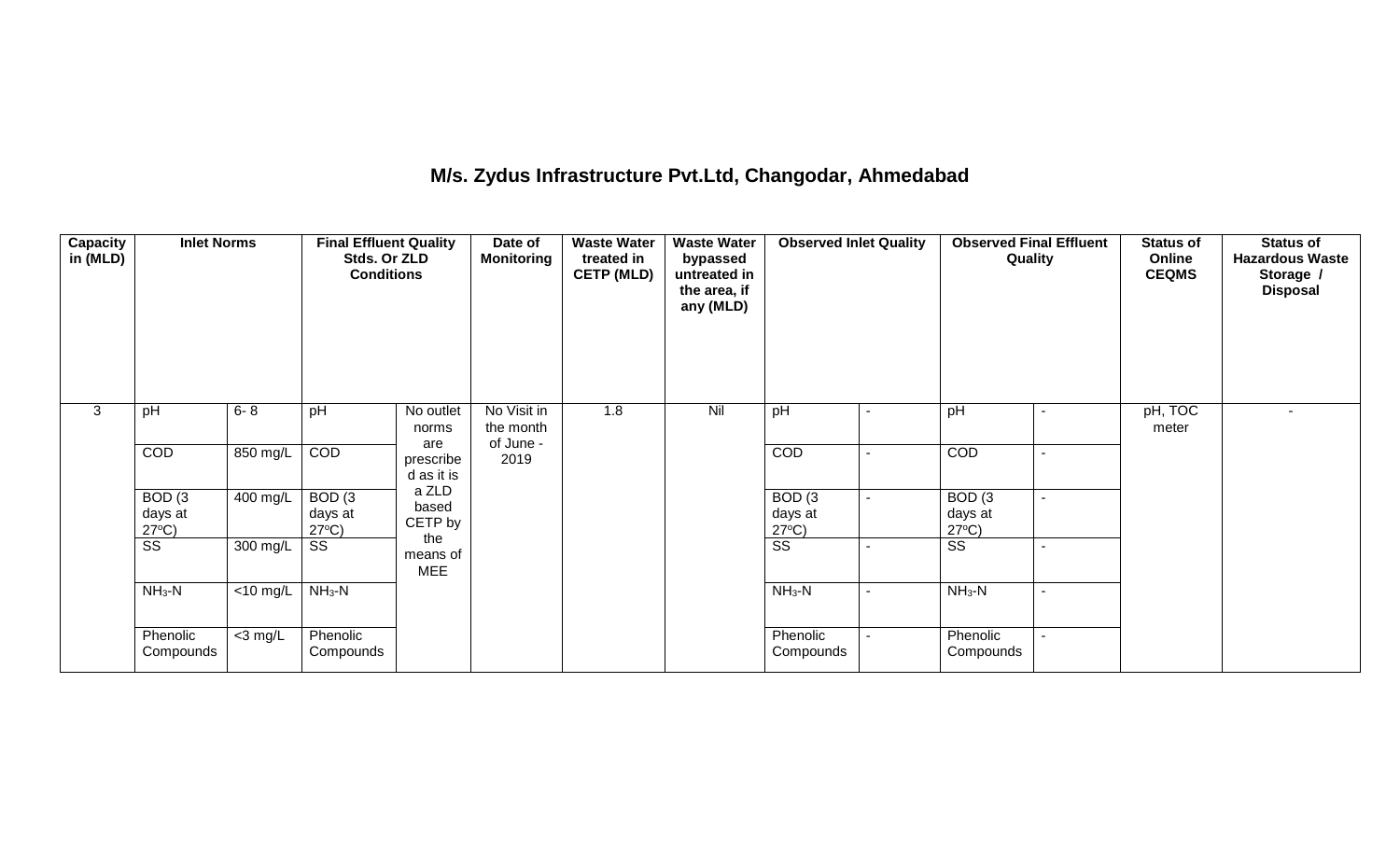## **M/s. Zydus Infrastructure Pvt.Ltd, Changodar, Ahmedabad**

| <b>Capacity</b><br>in (MLD) | <b>Inlet Norms</b>                              |                               | <b>Final Effluent Quality</b><br>Stds. Or ZLD<br><b>Conditions</b> |                                | Date of<br><b>Monitoring</b>          | <b>Waste Water</b><br>treated in<br><b>CETP (MLD)</b> | <b>Waste Water</b><br>bypassed<br>untreated in<br>the area, if<br>any (MLD) | <b>Observed Inlet Quality</b>        |                | <b>Observed Final Effluent</b><br>Quality       |                          | <b>Status of</b><br>Online<br><b>CEQMS</b> | <b>Status of</b><br><b>Hazardous Waste</b><br>Storage /<br><b>Disposal</b> |
|-----------------------------|-------------------------------------------------|-------------------------------|--------------------------------------------------------------------|--------------------------------|---------------------------------------|-------------------------------------------------------|-----------------------------------------------------------------------------|--------------------------------------|----------------|-------------------------------------------------|--------------------------|--------------------------------------------|----------------------------------------------------------------------------|
| 3                           | pH                                              | $6 - 8$                       | pH                                                                 | No outlet<br>norms             | No Visit in<br>the month<br>of June - | 1.8                                                   | Nil                                                                         | pH                                   | $\blacksquare$ | pH                                              | $\sim$                   | pH, TOC<br>meter                           | $\sim$                                                                     |
|                             | COD                                             | 850 mg/L                      | COD                                                                | are<br>prescribe<br>d as it is | 2019                                  |                                                       |                                                                             | <b>COD</b>                           | $\blacksquare$ | <b>COD</b>                                      | $\blacksquare$           |                                            |                                                                            |
|                             | BOD <sub>(3</sub><br>days at<br>$27^{\circ}C$ ) | 400 mg/L                      | BOD <sub>(3</sub><br>days at<br>$27^{\circ}C$ )                    | a ZLD<br>based<br>CETP by      |                                       |                                                       |                                                                             | BOD(3)<br>days at<br>$27^{\circ}C$ ) | $\sim$         | BOD <sub>(3</sub><br>days at<br>$27^{\circ}C$ ) | $\blacksquare$           |                                            |                                                                            |
|                             | $\overline{\text{ss}}$                          | 300 mg/L                      | SS                                                                 | the<br>means of<br><b>MEE</b>  |                                       |                                                       |                                                                             | $\overline{\text{ss}}$               | $\blacksquare$ | SS                                              | $\blacksquare$           |                                            |                                                                            |
|                             | $NH3-N$                                         | $\overline{<}10 \text{ mg/L}$ | $NH3-N$                                                            |                                |                                       |                                                       |                                                                             | $NH_3-N$                             | $\blacksquare$ | $NH_3-N$                                        | $\blacksquare$           |                                            |                                                                            |
|                             | Phenolic<br>Compounds                           | $<$ 3 mg/L                    | Phenolic<br>Compounds                                              |                                |                                       |                                                       |                                                                             | Phenolic<br>Compounds                |                | Phenolic<br>Compounds                           | $\overline{\phantom{0}}$ |                                            |                                                                            |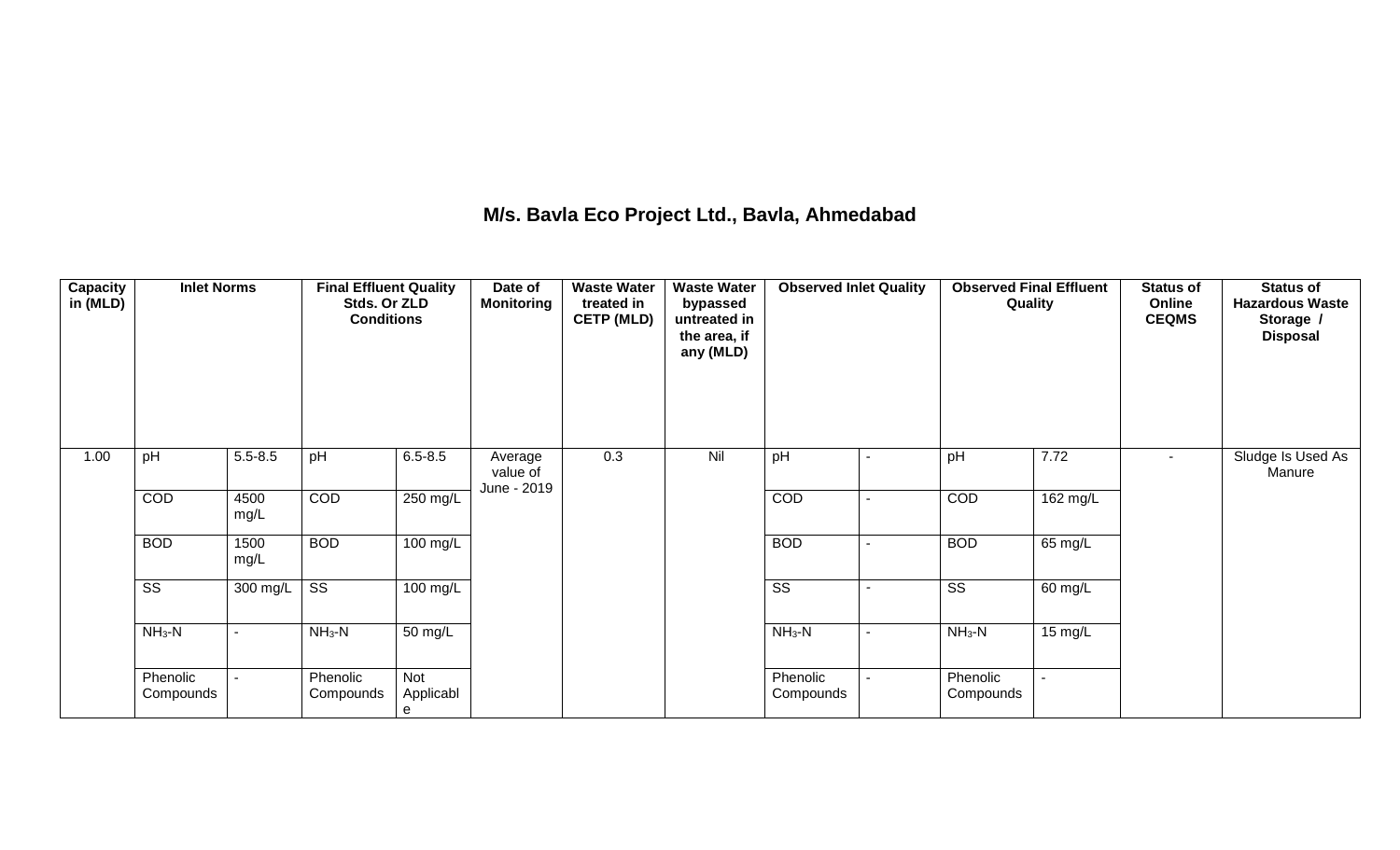## **M/s. Bavla Eco Project Ltd., Bavla, Ahmedabad**

| Capacity<br>in (MLD) | <b>Inlet Norms</b>     |              | <b>Final Effluent Quality</b><br>Stds. Or ZLD<br><b>Conditions</b> |                       | Date of<br><b>Monitoring</b>       | <b>Waste Water</b><br>treated in<br><b>CETP (MLD)</b> | <b>Waste Water</b><br>bypassed<br>untreated in<br>the area, if<br>any (MLD) | <b>Observed Inlet Quality</b> | <b>Observed Final Effluent</b><br>Quality |                       | <b>Status of</b><br>Online<br><b>CEQMS</b> | <b>Status of</b><br><b>Hazardous Waste</b><br>Storage /<br><b>Disposal</b> |
|----------------------|------------------------|--------------|--------------------------------------------------------------------|-----------------------|------------------------------------|-------------------------------------------------------|-----------------------------------------------------------------------------|-------------------------------|-------------------------------------------|-----------------------|--------------------------------------------|----------------------------------------------------------------------------|
| 1.00                 | pH                     | $5.5 - 8.5$  | pH                                                                 | $6.5 - 8.5$           | Average<br>value of<br>June - 2019 | 0.3                                                   | Nil                                                                         | pH                            | pH                                        | 7.72                  | $\blacksquare$                             | Sludge Is Used As<br>Manure                                                |
|                      | COD                    | 4500<br>mg/L | COD                                                                | 250 mg/L              |                                    |                                                       |                                                                             | COD                           | COD                                       | 162 mg/L              |                                            |                                                                            |
|                      | <b>BOD</b>             | 1500<br>mg/L | <b>BOD</b>                                                         | 100 mg/L              |                                    |                                                       |                                                                             | <b>BOD</b>                    | <b>BOD</b>                                | 65 mg/L               |                                            |                                                                            |
|                      | $\overline{\text{ss}}$ | 300 mg/L     | $\overline{\text{ss}}$                                             | $\overline{100}$ mg/L |                                    |                                                       |                                                                             | $\overline{\text{ss}}$        | $\overline{\text{SS}}$                    | 60 mg/L               |                                            |                                                                            |
|                      | $NH3-N$                | $\sim$       | $NH3-N$                                                            | 50 mg/L               |                                    |                                                       |                                                                             | $NH_3-N$                      | $NH3-N$                                   | 15 mg/ $\overline{L}$ |                                            |                                                                            |
|                      | Phenolic<br>Compounds  |              | Phenolic<br>Compounds                                              | Not<br>Applicabl<br>е |                                    |                                                       |                                                                             | Phenolic<br>Compounds         | Phenolic<br>Compounds                     |                       |                                            |                                                                            |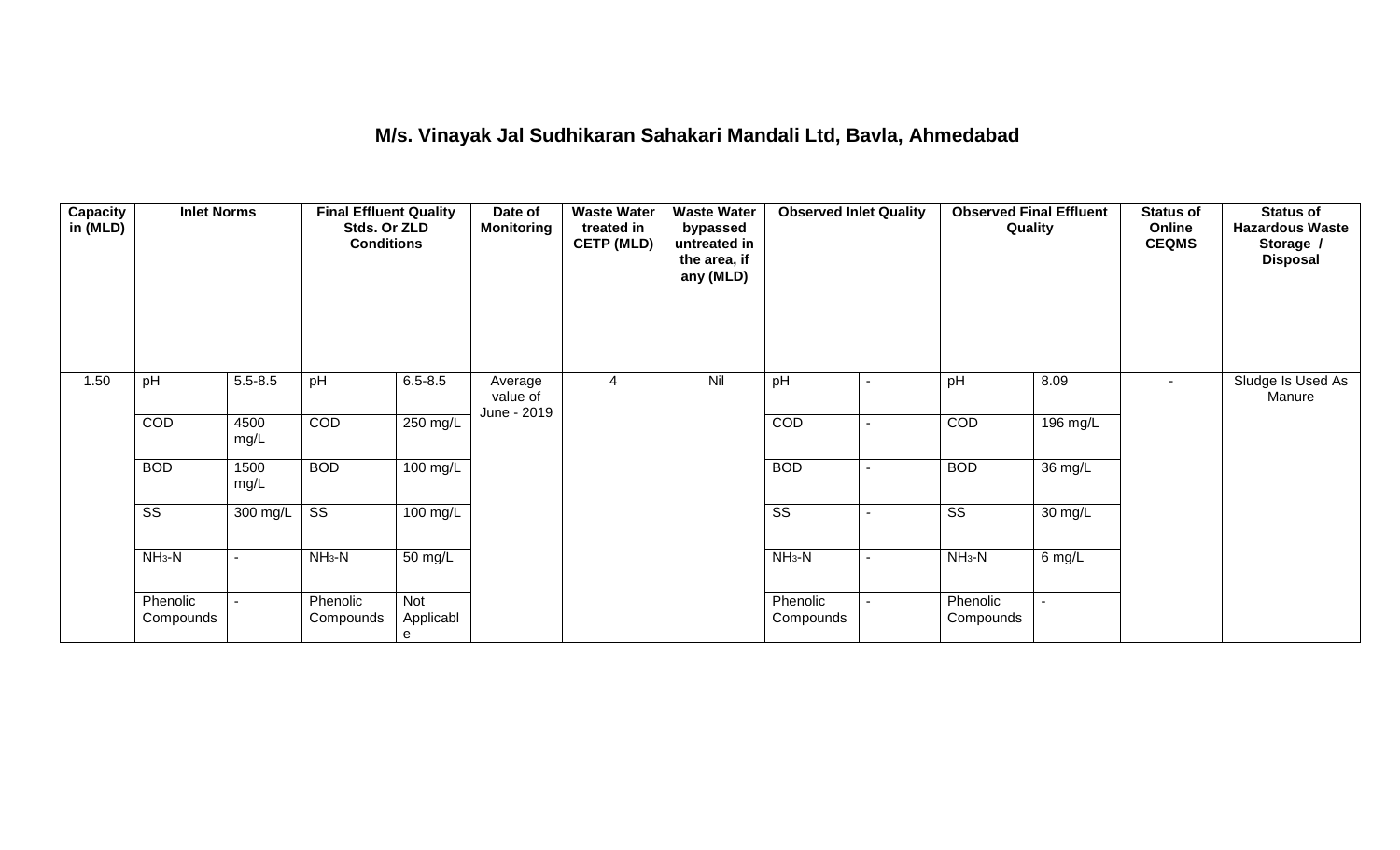## **M/s. Vinayak Jal Sudhikaran Sahakari Mandali Ltd, Bavla, Ahmedabad**

| <b>Capacity</b><br>in (MLD) | <b>Inlet Norms</b>     |                | <b>Final Effluent Quality</b><br>Stds. Or ZLD<br><b>Conditions</b> |                       | Date of<br><b>Monitoring</b>       | <b>Waste Water</b><br>treated in<br><b>CETP (MLD)</b> | <b>Waste Water</b><br>bypassed<br>untreated in<br>the area, if<br>any (MLD) | <b>Observed Inlet Quality</b> |                          | <b>Observed Final Effluent</b><br>Quality |                   | <b>Status of</b><br>Online<br><b>CEQMS</b> | <b>Status of</b><br><b>Hazardous Waste</b><br>Storage /<br><b>Disposal</b> |
|-----------------------------|------------------------|----------------|--------------------------------------------------------------------|-----------------------|------------------------------------|-------------------------------------------------------|-----------------------------------------------------------------------------|-------------------------------|--------------------------|-------------------------------------------|-------------------|--------------------------------------------|----------------------------------------------------------------------------|
| 1.50                        | pH                     | $5.5 - 8.5$    | pH                                                                 | $6.5 - 8.5$           | Average<br>value of<br>June - 2019 | 4                                                     | Nil                                                                         | pH                            |                          | pH                                        | 8.09              | $\sim$                                     | Sludge Is Used As<br>Manure                                                |
|                             | COD                    | 4500<br>mg/L   | COD                                                                | 250 mg/L              |                                    |                                                       |                                                                             | COD                           |                          | COD                                       | 196 mg/L          |                                            |                                                                            |
|                             | <b>BOD</b>             | 1500<br>mg/L   | <b>BOD</b>                                                         | 100 mg/L              |                                    |                                                       |                                                                             | <b>BOD</b>                    |                          | <b>BOD</b>                                | $36 \text{ mg/L}$ |                                            |                                                                            |
|                             | $\overline{\text{ss}}$ | 300 mg/L       | $\overline{\text{SS}}$                                             | 100 mg/L              |                                    |                                                       |                                                                             | $\overline{\text{ss}}$        | $\overline{\phantom{a}}$ | $\overline{\text{SS}}$                    | 30 mg/L           |                                            |                                                                            |
|                             | $NH3-N$                | $\overline{a}$ | $NH3-N$                                                            | 50 mg/L               |                                    |                                                       |                                                                             | $NH3-N$                       | $\overline{\phantom{0}}$ | $NH3-N$                                   | 6 mg/L            |                                            |                                                                            |
|                             | Phenolic<br>Compounds  |                | Phenolic<br>Compounds                                              | Not<br>Applicabl<br>e |                                    |                                                       |                                                                             | Phenolic<br>Compounds         |                          | Phenolic<br>Compounds                     |                   |                                            |                                                                            |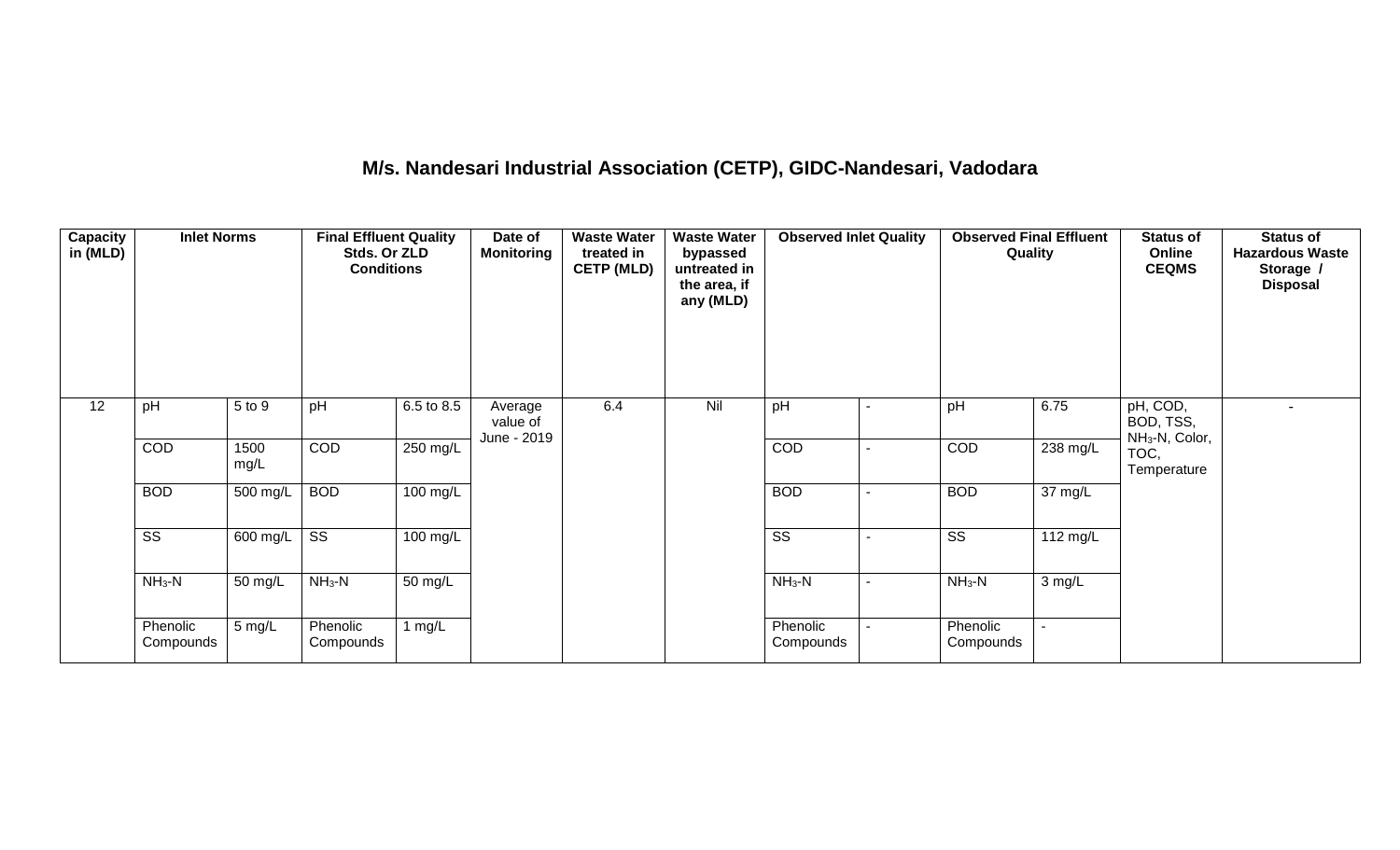# **M/s. Nandesari Industrial Association (CETP), GIDC-Nandesari, Vadodara**

| <b>Capacity</b><br>in (MLD) | <b>Inlet Norms</b>     |                               | <b>Final Effluent Quality</b><br>Stds. Or ZLD<br><b>Conditions</b> |                    | Date of<br><b>Monitoring</b>       | <b>Waste Water</b><br>treated in<br><b>CETP (MLD)</b> | <b>Waste Water</b><br>bypassed<br>untreated in<br>the area, if<br>any (MLD) | <b>Observed Inlet Quality</b> |                          | <b>Observed Final Effluent</b><br>Quality |                      | <b>Status of</b><br>Online<br><b>CEQMS</b>          | <b>Status of</b><br><b>Hazardous Waste</b><br>Storage /<br><b>Disposal</b> |
|-----------------------------|------------------------|-------------------------------|--------------------------------------------------------------------|--------------------|------------------------------------|-------------------------------------------------------|-----------------------------------------------------------------------------|-------------------------------|--------------------------|-------------------------------------------|----------------------|-----------------------------------------------------|----------------------------------------------------------------------------|
| 12                          | pH                     | 5 to 9                        | pH                                                                 | 6.5 to 8.5         | Average<br>value of<br>June - 2019 | 6.4                                                   | Nil                                                                         | pH                            |                          | pH                                        | 6.75                 | pH, COD,<br>BOD, TSS,<br>NH <sub>3</sub> -N, Color, |                                                                            |
|                             | COD                    | 1500<br>mg/L                  | COD                                                                | 250 mg/L           |                                    |                                                       |                                                                             | COD                           |                          | COD                                       | $238 \text{ mg/L}$   | TOC,<br>Temperature                                 |                                                                            |
|                             | <b>BOD</b>             | 500 mg/L                      | <b>BOD</b>                                                         | $100 \text{ mg/L}$ |                                    |                                                       |                                                                             | <b>BOD</b>                    |                          | <b>BOD</b>                                | $\overline{37}$ mg/L |                                                     |                                                                            |
|                             | $\overline{\text{ss}}$ | 600 mg/L                      | $\overline{\text{ss}}$                                             | $100 \text{ mg/L}$ |                                    |                                                       |                                                                             | $\overline{\text{ss}}$        | $\overline{\phantom{a}}$ | $\overline{\text{ss}}$                    | 112 mg/L             |                                                     |                                                                            |
|                             | $NH3-N$                | $NH3-N$<br>50 mg/L<br>50 mg/L |                                                                    |                    | $NH_3-N$                           |                                                       | $NH3-N$                                                                     | 3 mg/L                        |                          |                                           |                      |                                                     |                                                                            |
|                             | Phenolic<br>Compounds  | $5 \text{ mg/L}$              | Phenolic<br>Compounds                                              | 1 mg/ $L$          |                                    |                                                       |                                                                             | Phenolic<br>Compounds         |                          | Phenolic<br>Compounds                     | $\sim$               |                                                     |                                                                            |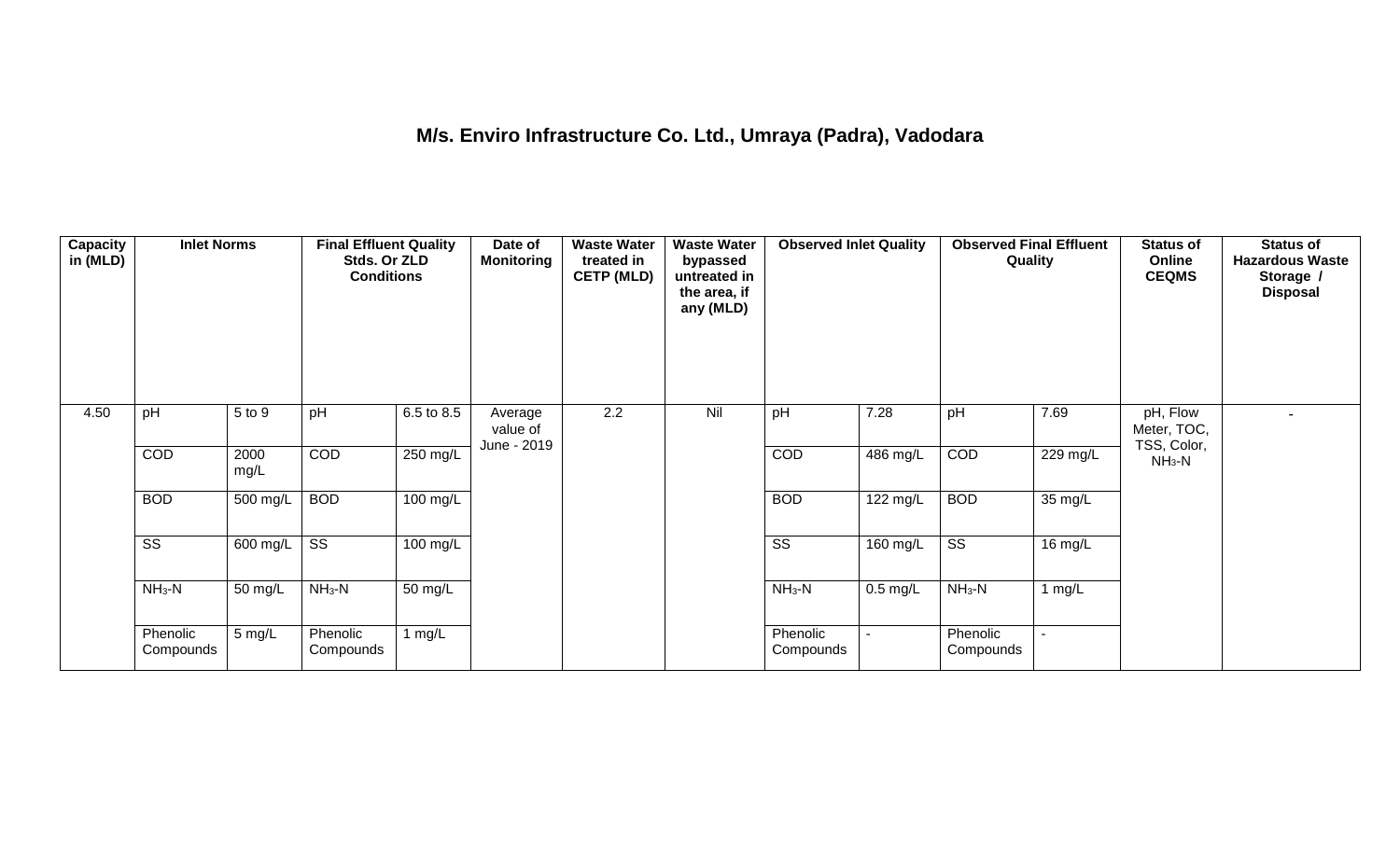## **M/s. Enviro Infrastructure Co. Ltd., Umraya (Padra), Vadodara**

| <b>Capacity</b><br>in (MLD) | <b>Inlet Norms</b>     |                       | <b>Final Effluent Quality</b><br>Stds. Or ZLD<br><b>Conditions</b> |            | Date of<br><b>Monitoring</b>       | <b>Waste Water</b><br>treated in<br><b>CETP (MLD)</b> | <b>Waste Water</b><br>bypassed<br>untreated in<br>the area, if<br>any (MLD) | <b>Observed Inlet Quality</b> |            | <b>Observed Final Effluent</b><br>Quality |                          | <b>Status of</b><br>Online<br><b>CEQMS</b> | <b>Status of</b><br><b>Hazardous Waste</b><br>Storage /<br><b>Disposal</b> |
|-----------------------------|------------------------|-----------------------|--------------------------------------------------------------------|------------|------------------------------------|-------------------------------------------------------|-----------------------------------------------------------------------------|-------------------------------|------------|-------------------------------------------|--------------------------|--------------------------------------------|----------------------------------------------------------------------------|
| 4.50                        | pH                     | 5 to 9                | pH                                                                 | 6.5 to 8.5 | Average<br>value of<br>June - 2019 | 2.2                                                   | Nil                                                                         | pH                            | 7.28       | pH                                        | 7.69                     | pH, Flow<br>Meter, TOC,<br>TSS, Color,     |                                                                            |
|                             | COD                    | 2000<br>mg/L          | COD                                                                | 250 mg/L   |                                    |                                                       |                                                                             | COD                           | 486 mg/L   | COD                                       | 229 mg/L                 | $NH3-N$                                    |                                                                            |
|                             | <b>BOD</b>             | 500 mg/L              | <b>BOD</b>                                                         | $100$ mg/L |                                    |                                                       |                                                                             | <b>BOD</b>                    | 122 mg/L   | <b>BOD</b>                                | $35 \,\mathrm{mg/L}$     |                                            |                                                                            |
|                             | $\overline{\text{ss}}$ | $\overline{600}$ mg/L | $\overline{\text{ss}}$                                             | $100$ mg/L |                                    |                                                       |                                                                             | $\overline{\text{ss}}$        | 160 mg/L   | $\overline{\text{ss}}$                    | 16 mg/L                  |                                            |                                                                            |
|                             | $NH3-N$                | 50 mg/L               | $NH3-N$                                                            | 50 mg/L    |                                    |                                                       |                                                                             | $NH3-N$                       | $0.5$ mg/L | $NH_3-N$                                  | $1$ mg/L                 |                                            |                                                                            |
|                             | Phenolic<br>Compounds  | 5 mg/L                | Phenolic<br>Compounds                                              | 1 mg/ $L$  |                                    |                                                       |                                                                             | Phenolic<br>Compounds         |            | Phenolic<br>Compounds                     | $\overline{\phantom{a}}$ |                                            |                                                                            |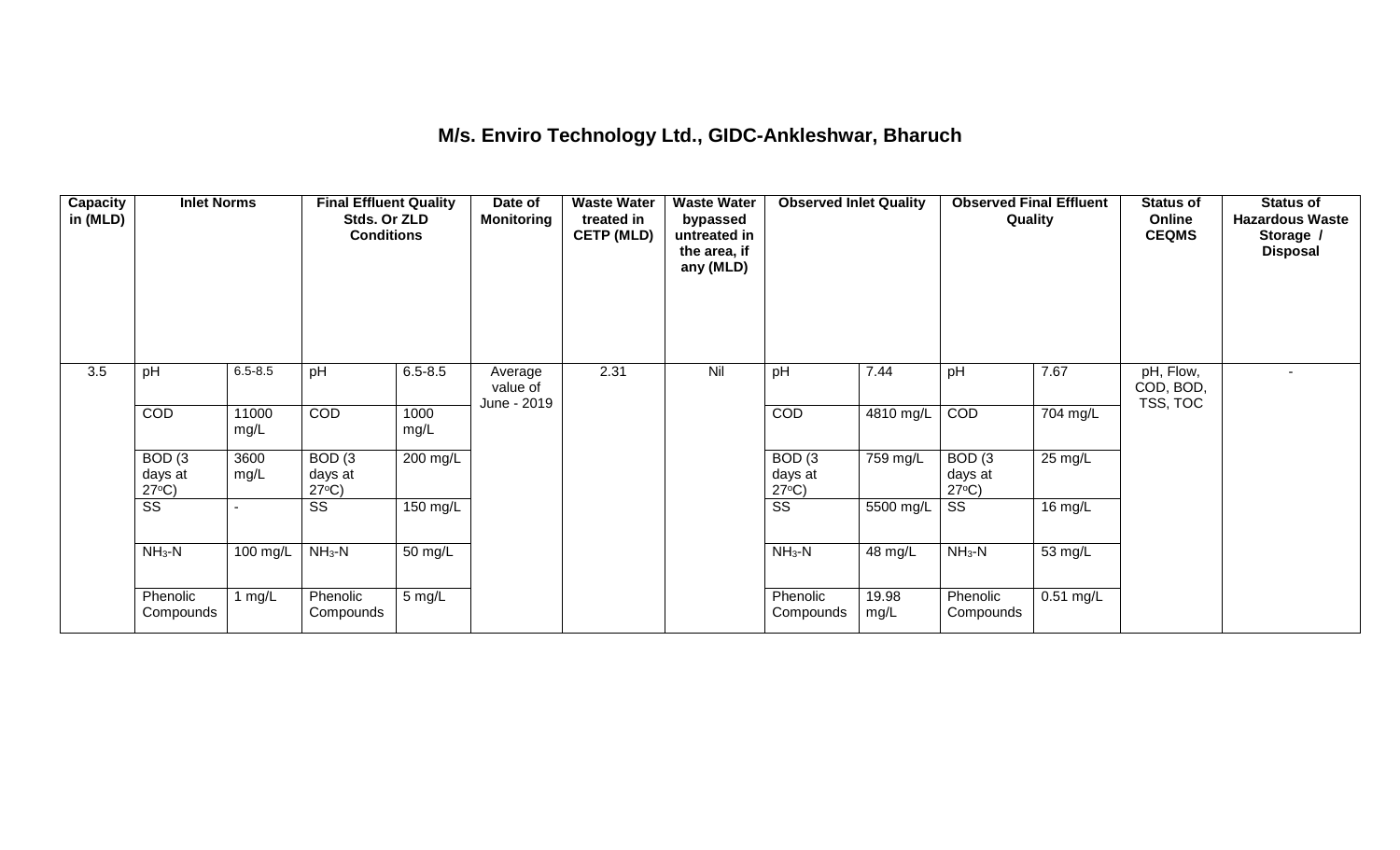## **M/s. Enviro Technology Ltd., GIDC-Ankleshwar, Bharuch**

| <b>Capacity</b><br>in (MLD) | <b>Inlet Norms</b>                              |               | <b>Final Effluent Quality</b><br>Stds. Or ZLD<br><b>Conditions</b> |              | Date of<br><b>Monitoring</b>       | <b>Waste Water</b><br>treated in<br><b>CETP (MLD)</b> | <b>Waste Water</b><br>bypassed<br>untreated in<br>the area, if<br>any (MLD) | <b>Observed Inlet Quality</b>        |               | <b>Observed Final Effluent</b><br>Quality |                   | <b>Status of</b><br>Online<br><b>CEQMS</b> | <b>Status of</b><br><b>Hazardous Waste</b><br>Storage /<br><b>Disposal</b> |
|-----------------------------|-------------------------------------------------|---------------|--------------------------------------------------------------------|--------------|------------------------------------|-------------------------------------------------------|-----------------------------------------------------------------------------|--------------------------------------|---------------|-------------------------------------------|-------------------|--------------------------------------------|----------------------------------------------------------------------------|
| 3.5                         | pH                                              | $6.5 - 8.5$   | pH                                                                 | $6.5 - 8.5$  | Average<br>value of<br>June - 2019 | 2.31                                                  | Nil                                                                         | pH                                   | 7.44          | pH                                        | 7.67              | pH, Flow,<br>COD, BOD,<br>TSS, TOC         |                                                                            |
|                             | COD                                             | 11000<br>mg/L | <b>COD</b>                                                         | 1000<br>mg/L |                                    |                                                       |                                                                             | <b>COD</b>                           | 4810 mg/L     | COD                                       | 704 mg/L          |                                            |                                                                            |
|                             | BOD <sub>(3</sub><br>days at<br>$27^{\circ}C$ ) | 3600<br>mg/L  | BOD(3)<br>days at<br>$27^{\circ}C$ )                               | $200$ mg/L   |                                    |                                                       |                                                                             | BOD(3)<br>days at<br>$27^{\circ}C$ ) | 759 mg/L      | BOD(3)<br>days at<br>$27^{\circ}C$ )      | $25 \text{ mg/L}$ |                                            |                                                                            |
|                             | $\overline{\text{ss}}$                          |               | $\overline{\text{SS}}$                                             | 150 mg/L     |                                    |                                                       |                                                                             | $\overline{\text{ss}}$               | 5500 mg/L     | $\overline{\text{SS}}$                    | 16 mg/L           |                                            |                                                                            |
|                             | $NH3-N$                                         | 100 mg/L      | $NH_3-N$                                                           | 50 mg/L      |                                    |                                                       |                                                                             | $NH_3-N$                             | 48 mg/L       | $NH_3-N$                                  | 53 mg/L           |                                            |                                                                            |
|                             | Phenolic<br>Compounds                           | 1 $mg/L$      | Phenolic<br>Compounds                                              | 5 mg/L       |                                    |                                                       |                                                                             | Phenolic<br>Compounds                | 19.98<br>mg/L | Phenolic<br>Compounds                     | $0.51$ mg/L       |                                            |                                                                            |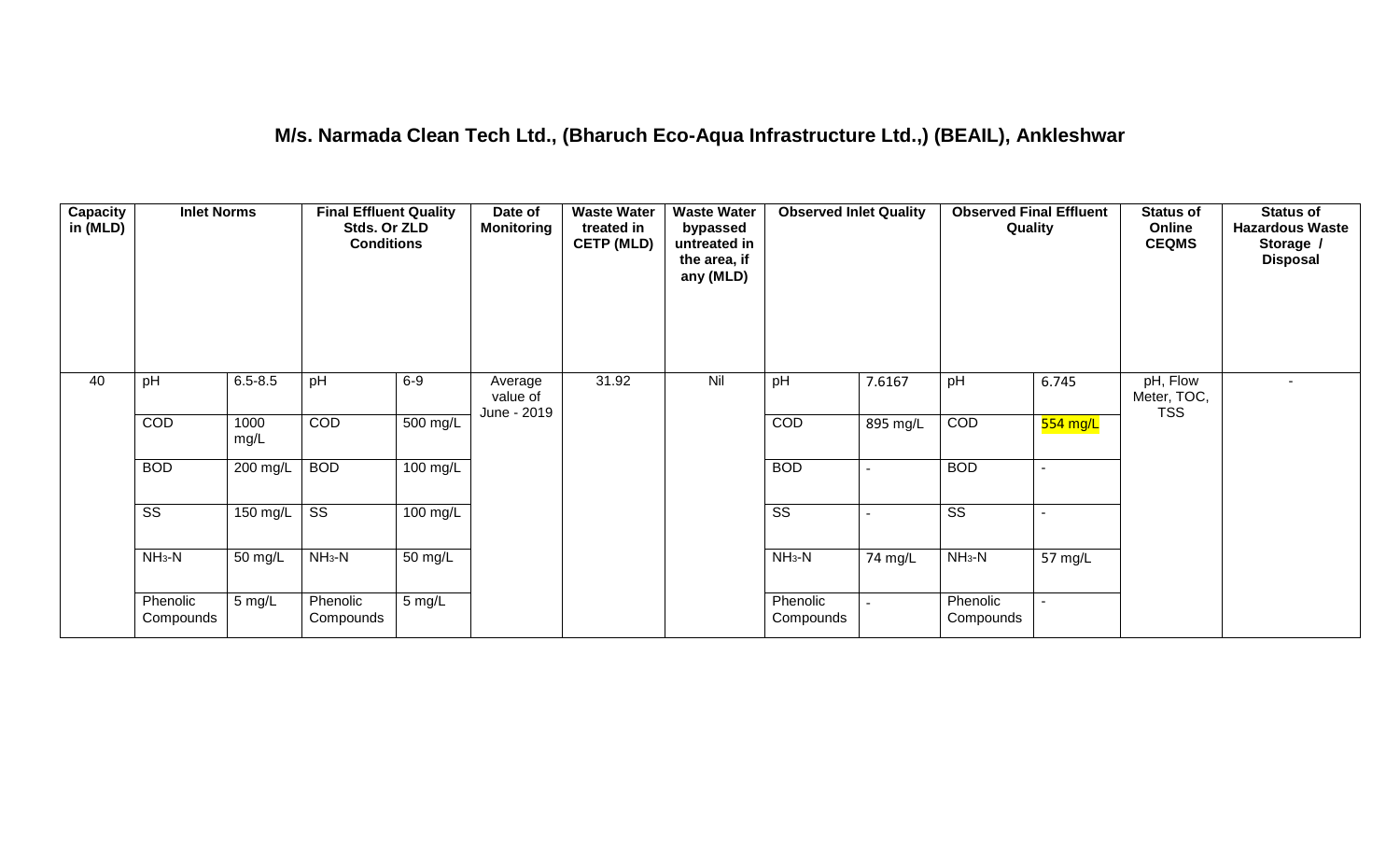### **M/s. Narmada Clean Tech Ltd., (Bharuch Eco-Aqua Infrastructure Ltd.,) (BEAIL), Ankleshwar**

| <b>Capacity</b><br>in (MLD) | <b>Inlet Norms</b>     |                  | <b>Final Effluent Quality</b><br>Stds. Or ZLD<br><b>Conditions</b> |                       | Date of<br><b>Monitoring</b>       | <b>Waste Water</b><br>treated in<br><b>CETP (MLD)</b> | <b>Waste Water</b><br>bypassed<br>untreated in<br>the area, if<br>any (MLD) | <b>Observed Inlet Quality</b> |          | <b>Observed Final Effluent</b><br>Quality |                       | <b>Status of</b><br>Online<br><b>CEQMS</b> | <b>Status of</b><br><b>Hazardous Waste</b><br>Storage /<br><b>Disposal</b> |
|-----------------------------|------------------------|------------------|--------------------------------------------------------------------|-----------------------|------------------------------------|-------------------------------------------------------|-----------------------------------------------------------------------------|-------------------------------|----------|-------------------------------------------|-----------------------|--------------------------------------------|----------------------------------------------------------------------------|
| 40                          | pH                     | $6.5 - 8.5$      | pH                                                                 | $6-9$                 | Average<br>value of<br>June - 2019 | 31.92                                                 | Nil                                                                         | pH                            | 7.6167   | pH                                        | 6.745                 | pH, Flow<br>Meter, TOC,<br><b>TSS</b>      | $\sim$                                                                     |
|                             | COD                    | 1000<br>mg/L     | COD                                                                | $\overline{500}$ mg/L |                                    |                                                       |                                                                             | COD                           | 895 mg/L | COD                                       | <mark>554 mg/L</mark> |                                            |                                                                            |
|                             | <b>BOD</b>             | 200 mg/L         | <b>BOD</b>                                                         | $100 \text{ mg/L}$    |                                    |                                                       |                                                                             | <b>BOD</b>                    |          | <b>BOD</b>                                | $\sim$                |                                            |                                                                            |
|                             | $\overline{\text{ss}}$ | 150 mg/L $\vert$ | $\overline{\text{ss}}$                                             | $100$ mg/L            |                                    |                                                       |                                                                             | $\overline{\text{ss}}$        |          | $\overline{\text{ss}}$                    | $\blacksquare$        |                                            |                                                                            |
|                             | $NH3-N$                | 50 mg/L          | $NH3-N$                                                            | $\overline{50}$ mg/L  |                                    |                                                       |                                                                             | $NH3-N$                       | 74 mg/L  | $NH3-N$                                   | 57 mg/L               |                                            |                                                                            |
|                             | Phenolic<br>Compounds  | 5 mg/L           | Phenolic<br>Compounds                                              | $5 \text{ mg/L}$      |                                    |                                                       |                                                                             | Phenolic<br>Compounds         |          | Phenolic<br>Compounds                     | $\sim$                |                                            |                                                                            |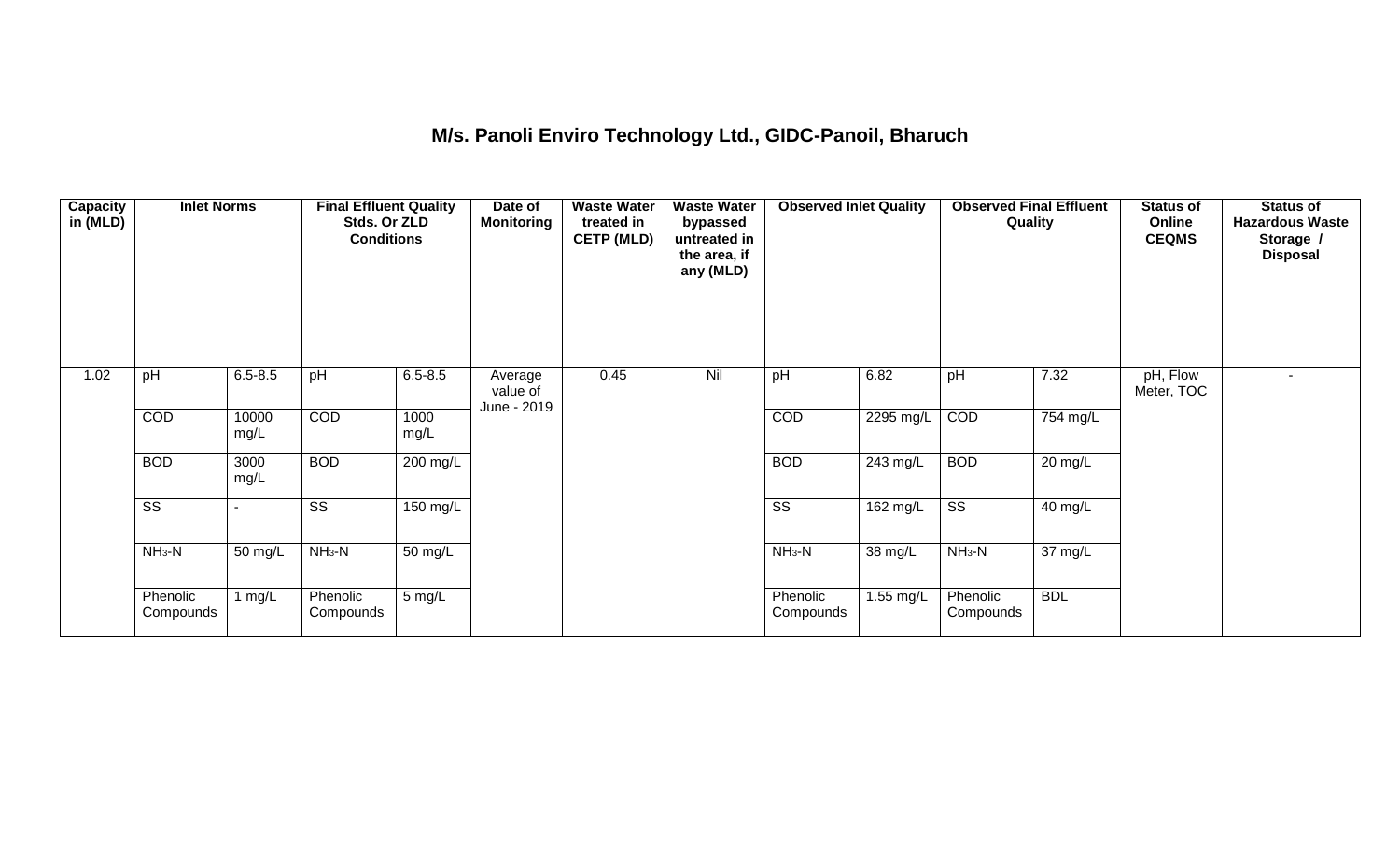## **M/s. Panoli Enviro Technology Ltd., GIDC-Panoil, Bharuch**

| Capacity<br>in (MLD) | <b>Inlet Norms</b>     |               | <b>Final Effluent Quality</b><br>Stds. Or ZLD<br><b>Conditions</b> |                  | Date of<br><b>Monitoring</b>       | <b>Waste Water</b><br>treated in<br><b>CETP (MLD)</b> | <b>Waste Water</b><br>bypassed<br>untreated in<br>the area, if<br>any (MLD) | <b>Observed Inlet Quality</b> |           | <b>Observed Final Effluent</b><br>Quality |            | <b>Status of</b><br>Online<br><b>CEQMS</b> | <b>Status of</b><br><b>Hazardous Waste</b><br>Storage /<br><b>Disposal</b> |
|----------------------|------------------------|---------------|--------------------------------------------------------------------|------------------|------------------------------------|-------------------------------------------------------|-----------------------------------------------------------------------------|-------------------------------|-----------|-------------------------------------------|------------|--------------------------------------------|----------------------------------------------------------------------------|
| 1.02                 | pH                     | $6.5 - 8.5$   | pH                                                                 | $6.5 - 8.5$      | Average<br>value of<br>June - 2019 | 0.45                                                  | Nil                                                                         | pH                            | 6.82      | pH                                        | 7.32       | pH, Flow<br>Meter, TOC                     |                                                                            |
|                      | COD                    | 10000<br>mg/L | COD                                                                | 1000<br>mg/L     |                                    |                                                       |                                                                             | <b>COD</b>                    | 2295 mg/L | COD                                       | 754 mg/L   |                                            |                                                                            |
|                      | <b>BOD</b>             | 3000<br>mg/L  | <b>BOD</b>                                                         | 200 mg/L         |                                    |                                                       |                                                                             | <b>BOD</b>                    | 243 mg/L  | <b>BOD</b>                                | 20 mg/L    |                                            |                                                                            |
|                      | $\overline{\text{ss}}$ |               | $\overline{\text{ss}}$                                             | 150 mg/L         |                                    |                                                       |                                                                             | $\overline{\text{SS}}$        | 162 mg/L  | $\overline{\text{ss}}$                    | 40 mg/L    |                                            |                                                                            |
|                      | $NH3-N$                | 50 mg/L       | $NH3-N$                                                            | 50 mg/L          |                                    |                                                       |                                                                             | $NH3-N$                       | 38 mg/L   | $NH3-N$                                   | 37 mg/L    |                                            |                                                                            |
|                      | Phenolic<br>Compounds  | 1 $mg/L$      | Phenolic<br>Compounds                                              | $5 \text{ mg/L}$ |                                    |                                                       |                                                                             | Phenolic<br>Compounds         | 1.55 mg/L | Phenolic<br>Compounds                     | <b>BDL</b> |                                            |                                                                            |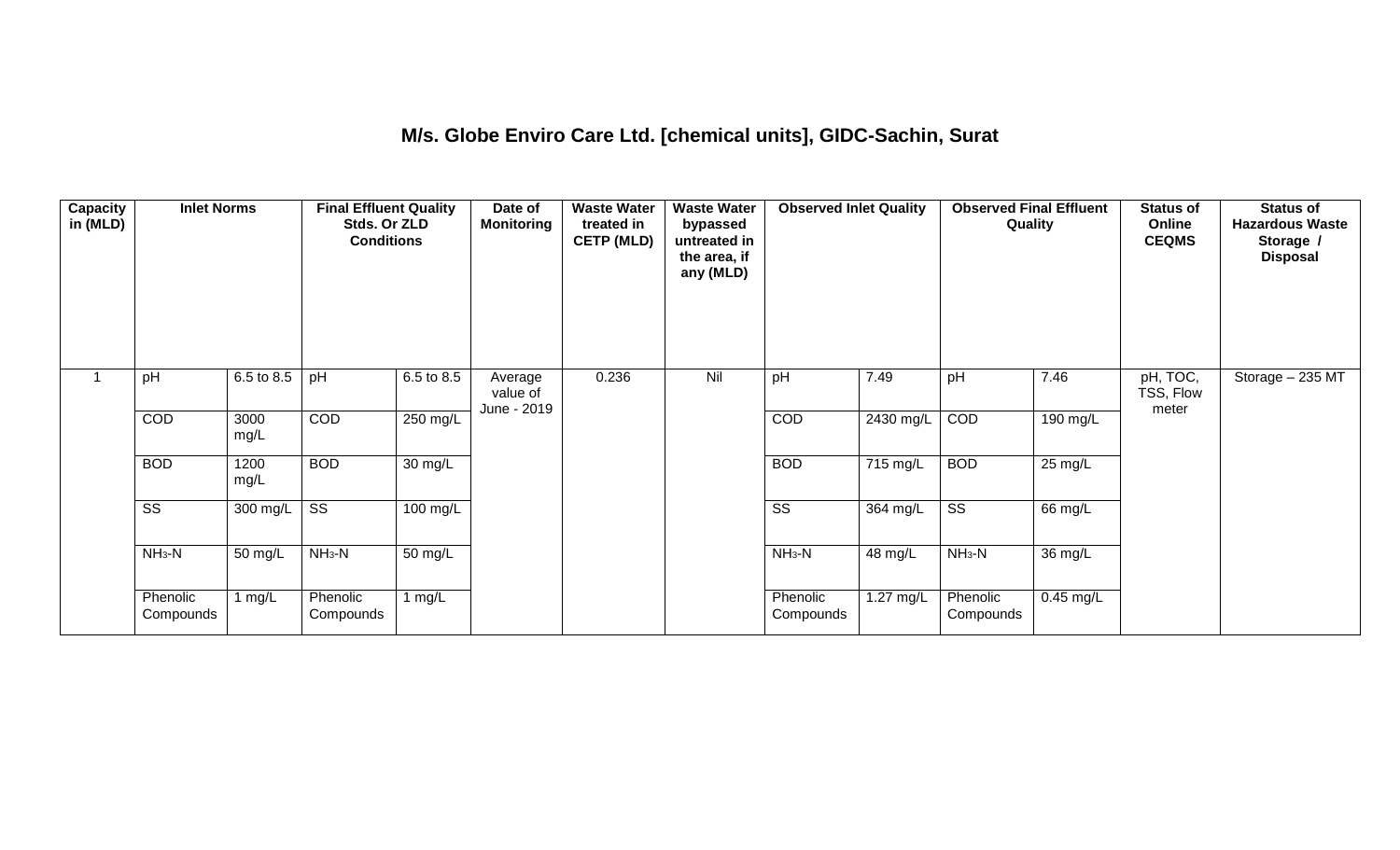### **M/s. Globe Enviro Care Ltd. [chemical units], GIDC-Sachin, Surat**

| Capacity<br>in (MLD) | <b>Inlet Norms</b>     |              | <b>Final Effluent Quality</b><br>Stds. Or ZLD<br><b>Conditions</b> |                      | Date of<br><b>Monitoring</b>       | <b>Waste Water</b><br>treated in<br><b>CETP (MLD)</b> | <b>Waste Water</b><br>bypassed<br>untreated in<br>the area, if<br>any (MLD) | <b>Observed Inlet Quality</b> |           | <b>Observed Final Effluent</b><br>Quality |             | <b>Status of</b><br>Online<br><b>CEQMS</b> | <b>Status of</b><br><b>Hazardous Waste</b><br>Storage /<br><b>Disposal</b> |
|----------------------|------------------------|--------------|--------------------------------------------------------------------|----------------------|------------------------------------|-------------------------------------------------------|-----------------------------------------------------------------------------|-------------------------------|-----------|-------------------------------------------|-------------|--------------------------------------------|----------------------------------------------------------------------------|
|                      | pH                     | 6.5 to 8.5   | pH                                                                 | 6.5 to 8.5           | Average<br>value of<br>June - 2019 | 0.236                                                 | Nil                                                                         | pH                            | 7.49      | pH                                        | 7.46        | pH, TOC,<br>TSS, Flow<br>meter             | Storage - 235 MT                                                           |
|                      | COD                    | 3000<br>mg/L | COD                                                                | 250 mg/L             |                                    |                                                       |                                                                             | COD                           | 2430 mg/L | COD                                       | 190 mg/L    |                                            |                                                                            |
|                      | <b>BOD</b>             | 1200<br>mg/L | <b>BOD</b>                                                         | $\overline{30}$ mg/L |                                    |                                                       |                                                                             | <b>BOD</b>                    | 715 mg/L  | <b>BOD</b>                                | 25 mg/L     |                                            |                                                                            |
|                      | $\overline{\text{ss}}$ | $300$ mg/L   | $\overline{\text{ss}}$                                             | $100$ mg/L           |                                    |                                                       |                                                                             | $\overline{\text{ss}}$        | 364 mg/L  | $\overline{\text{ss}}$                    | 66 mg/L     |                                            |                                                                            |
|                      | $NH3-N$                | 50 mg/L      | $NH3-N$                                                            | 50 mg/L              |                                    |                                                       |                                                                             | $NH3-N$                       | 48 mg/L   | $NH3-N$                                   | 36 mg/L     |                                            |                                                                            |
|                      | Phenolic<br>Compounds  | 1 mg/L       | Phenolic<br>Compounds                                              | 1 mg/L               |                                    |                                                       |                                                                             | Phenolic<br>Compounds         | 1.27 mg/L | Phenolic<br>Compounds                     | $0.45$ mg/L |                                            |                                                                            |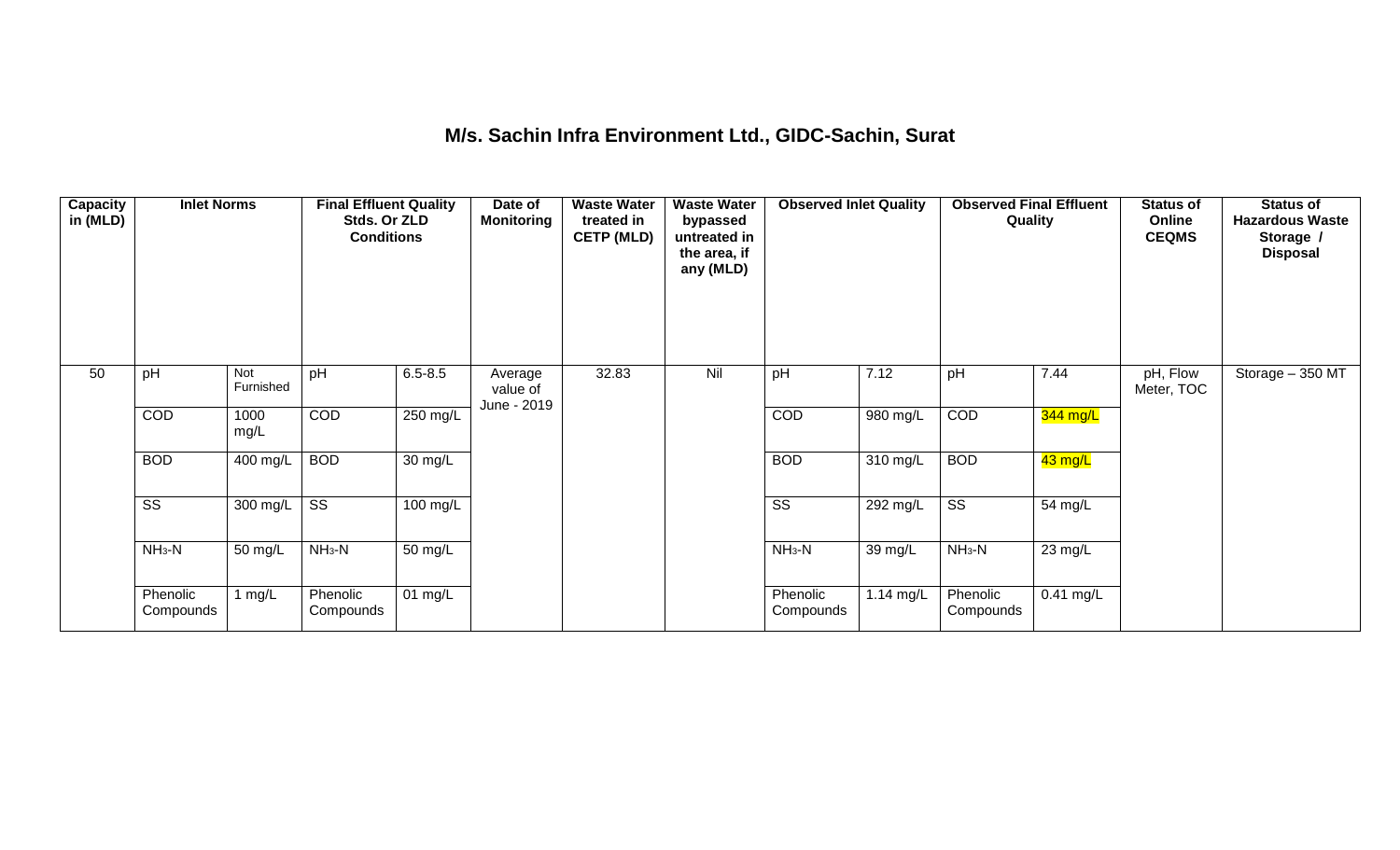### **M/s. Sachin Infra Environment Ltd., GIDC-Sachin, Surat**

| <b>Capacity</b><br>in (MLD) | <b>Inlet Norms</b>     |                  | <b>Final Effluent Quality</b><br>Stds. Or ZLD<br><b>Conditions</b> |                      | Date of<br><b>Monitoring</b>       | <b>Waste Water</b><br>treated in<br><b>CETP (MLD)</b> | <b>Waste Water</b><br>bypassed<br>untreated in<br>the area, if<br>any (MLD) | <b>Observed Inlet Quality</b> |                      | <b>Observed Final Effluent</b><br>Quality |             | <b>Status of</b><br>Online<br><b>CEQMS</b> | <b>Status of</b><br><b>Hazardous Waste</b><br>Storage /<br><b>Disposal</b> |
|-----------------------------|------------------------|------------------|--------------------------------------------------------------------|----------------------|------------------------------------|-------------------------------------------------------|-----------------------------------------------------------------------------|-------------------------------|----------------------|-------------------------------------------|-------------|--------------------------------------------|----------------------------------------------------------------------------|
| 50                          | pH                     | Not<br>Furnished | pH                                                                 | $6.5 - 8.5$          | Average<br>value of<br>June - 2019 | 32.83                                                 | Nil                                                                         | pH                            | 7.12                 | pH                                        | 7.44        | pH, Flow<br>Meter, TOC                     | Storage - 350 MT                                                           |
|                             | COD                    | 1000<br>mg/L     | COD                                                                | 250 mg/L             |                                    |                                                       |                                                                             | COD                           | 980 mg/L             | COD                                       | $344$ mg/L  |                                            |                                                                            |
|                             | <b>BOD</b>             | 400 mg/L         | <b>BOD</b>                                                         | 30 mg/L              |                                    |                                                       |                                                                             | <b>BOD</b>                    | 310 mg/L             | <b>BOD</b>                                | 43 mg/L     |                                            |                                                                            |
|                             | $\overline{\text{ss}}$ | 300 mg/L         | $\overline{\text{ss}}$                                             | $100 \text{ mg/L}$   |                                    |                                                       |                                                                             | $\overline{\text{ss}}$        | 292 mg/L             | $\overline{\text{ss}}$                    | 54 mg/L     |                                            |                                                                            |
|                             | $NH3-N$                | 50 mg/L          | $NH_3-N$                                                           | $\overline{50}$ mg/L |                                    |                                                       |                                                                             | $NH_3-N$                      | $\overline{3}9$ mg/L | $NH3-N$                                   | 23 mg/L     |                                            |                                                                            |
|                             | Phenolic<br>Compounds  | mg/L             | Phenolic<br>Compounds                                              | 01 mg/L              |                                    |                                                       |                                                                             | Phenolic<br>Compounds         | $1.14$ mg/L          | Phenolic<br>Compounds                     | $0.41$ mg/L |                                            |                                                                            |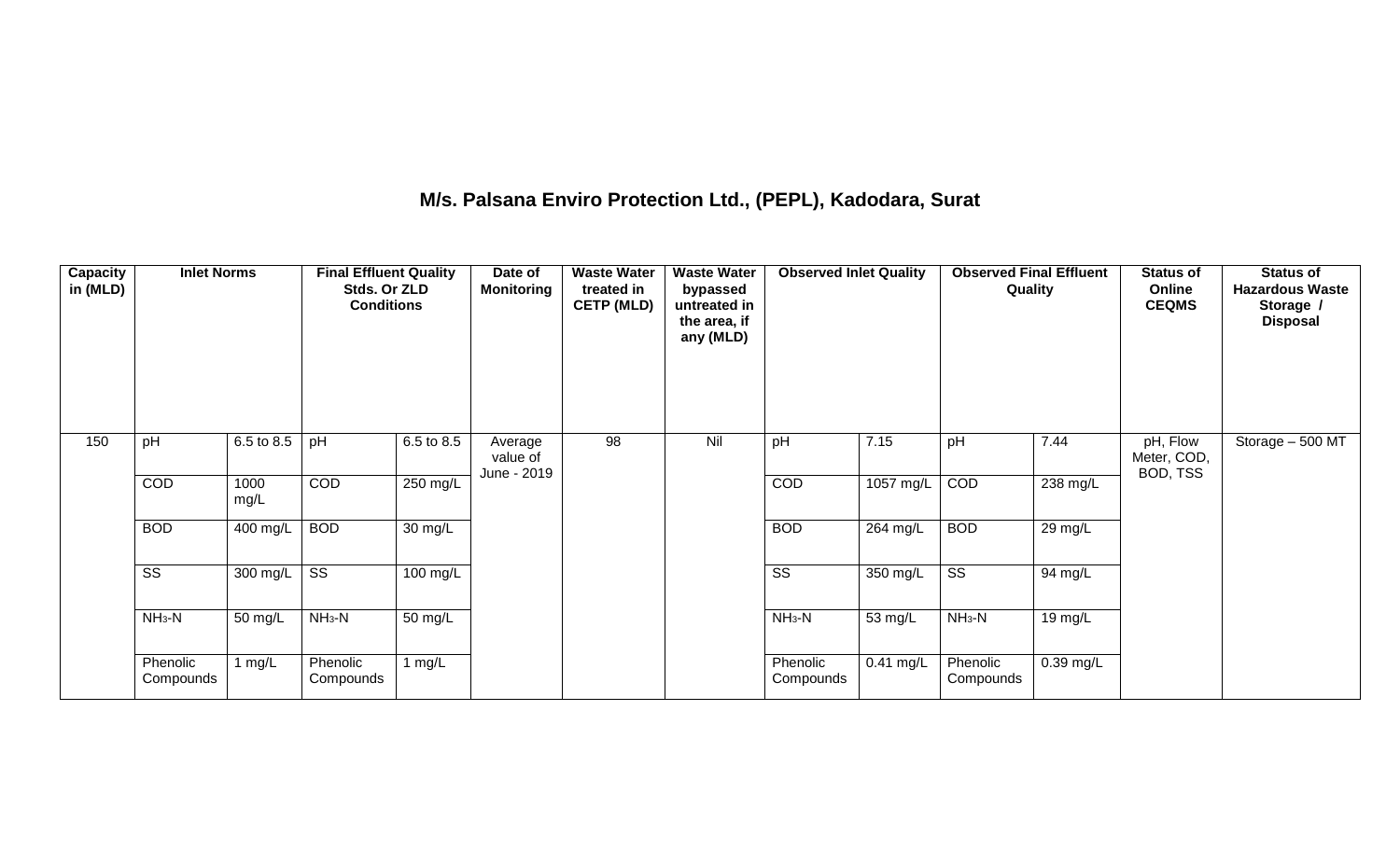## **M/s. Palsana Enviro Protection Ltd., (PEPL), Kadodara, Surat**

| Capacity<br>in (MLD) | <b>Inlet Norms</b>     |              | <b>Final Effluent Quality</b><br>Stds. Or ZLD<br><b>Conditions</b> |            | Date of<br><b>Monitoring</b>       | <b>Waste Water</b><br>treated in<br><b>CETP (MLD)</b> | <b>Waste Water</b><br>bypassed<br>untreated in<br>the area, if<br>any (MLD) | <b>Observed Inlet Quality</b> |             | <b>Observed Final Effluent</b><br>Quality |                      | <b>Status of</b><br>Online<br><b>CEQMS</b> | <b>Status of</b><br><b>Hazardous Waste</b><br>Storage /<br><b>Disposal</b> |
|----------------------|------------------------|--------------|--------------------------------------------------------------------|------------|------------------------------------|-------------------------------------------------------|-----------------------------------------------------------------------------|-------------------------------|-------------|-------------------------------------------|----------------------|--------------------------------------------|----------------------------------------------------------------------------|
| 150                  | pH                     | 6.5 to 8.5   | pH                                                                 | 6.5 to 8.5 | Average<br>value of<br>June - 2019 | 98                                                    | Nil                                                                         | pH                            | 7.15        | pH                                        | 7.44                 | pH, Flow<br>Meter, COD,<br>BOD, TSS        | Storage - 500 MT                                                           |
|                      | COD                    | 1000<br>mg/L | COD                                                                | 250 mg/L   |                                    |                                                       |                                                                             | COD                           | 1057 mg/L   | COD                                       | 238 mg/L             |                                            |                                                                            |
|                      | <b>BOD</b>             | 400 mg/L     | <b>BOD</b>                                                         | 30 mg/L    |                                    |                                                       |                                                                             | <b>BOD</b>                    | $264$ mg/L  | <b>BOD</b>                                | $\overline{29}$ mg/L |                                            |                                                                            |
|                      | $\overline{\text{ss}}$ | 300 mg/L     | $\overline{\text{ss}}$                                             | 100 mg/L   |                                    |                                                       |                                                                             | $\overline{\text{ss}}$        | $350$ mg/L  | $\overline{\text{ss}}$                    | 94 mg/L              |                                            |                                                                            |
|                      | $NH3-N$                | 50 mg/L      | $NH3-N$                                                            | 50 mg/L    |                                    |                                                       |                                                                             | $NH_3-N$                      | 53 mg/L     | $NH_3-N$                                  | 19 mg/L              |                                            |                                                                            |
|                      | Phenolic<br>Compounds  | 1 $mg/L$     | Phenolic<br>Compounds                                              | 1 $mg/L$   |                                    |                                                       |                                                                             | Phenolic<br>Compounds         | $0.41$ mg/L | Phenolic<br>Compounds                     | 0.39 mg/L            |                                            |                                                                            |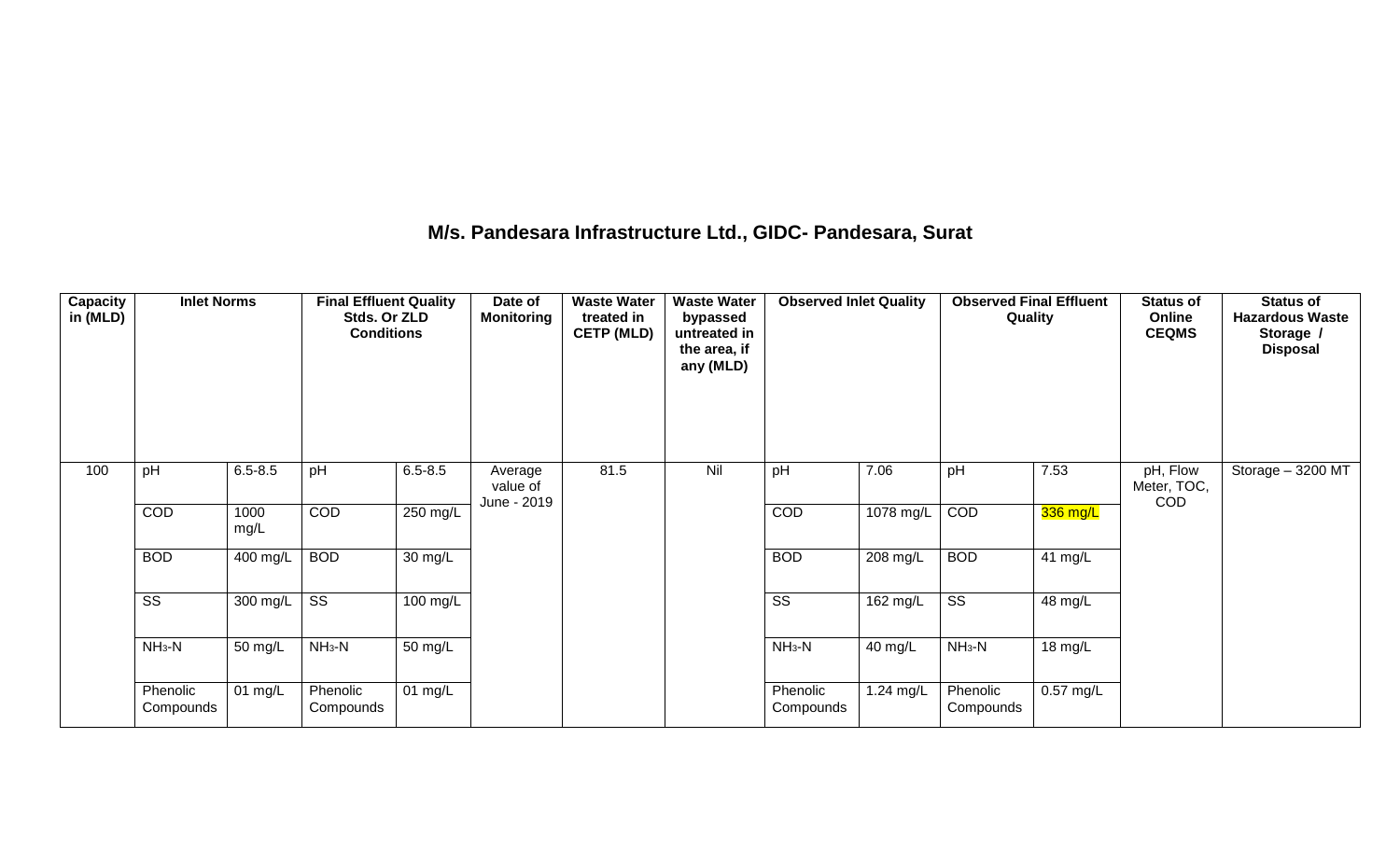### **M/s. Pandesara Infrastructure Ltd., GIDC- Pandesara, Surat**

| Capacity<br>in (MLD) | <b>Inlet Norms</b>     |              | <b>Final Effluent Quality</b><br>Stds. Or ZLD<br><b>Conditions</b> |             | Date of<br><b>Monitoring</b> | <b>Waste Water</b><br>treated in<br><b>CETP (MLD)</b> | <b>Waste Water</b><br>bypassed<br>untreated in<br>the area, if<br>any (MLD) | <b>Observed Inlet Quality</b> |           | <b>Observed Final Effluent</b><br>Quality |             | <b>Status of</b><br>Online<br><b>CEQMS</b> | <b>Status of</b><br><b>Hazardous Waste</b><br>Storage /<br><b>Disposal</b> |
|----------------------|------------------------|--------------|--------------------------------------------------------------------|-------------|------------------------------|-------------------------------------------------------|-----------------------------------------------------------------------------|-------------------------------|-----------|-------------------------------------------|-------------|--------------------------------------------|----------------------------------------------------------------------------|
| 100                  | pH                     | $6.5 - 8.5$  | pH                                                                 | $6.5 - 8.5$ | Average<br>value of          | 81.5                                                  | Nil                                                                         | pH                            | 7.06      | pH                                        | 7.53        | pH, Flow<br>Meter, TOC,<br>COD             | Storage - 3200 MT                                                          |
|                      | COD                    | 1000<br>mg/L | COD                                                                | 250 mg/L    | June - 2019                  |                                                       |                                                                             | <b>COD</b>                    | 1078 mg/L | COD                                       | 336 mg/L    |                                            |                                                                            |
|                      | <b>BOD</b>             | 400 mg/L     | <b>BOD</b>                                                         | 30 mg/L     |                              |                                                       |                                                                             | <b>BOD</b>                    | 208 mg/L  | <b>BOD</b>                                | 41 $mg/L$   |                                            |                                                                            |
|                      | $\overline{\text{ss}}$ | 300 mg/L     | $\overline{\text{SS}}$                                             | 100 mg/L    |                              |                                                       |                                                                             | $\overline{\text{ss}}$        | 162 mg/L  | $\overline{\text{ss}}$                    | 48 mg/L     |                                            |                                                                            |
|                      | $NH3-N$                | 50 mg/L      | $NH_3-N$                                                           | 50 mg/L     |                              |                                                       |                                                                             | $NH3-N$                       | 40 mg/L   | $NH3-N$                                   | 18 mg/L     |                                            |                                                                            |
|                      | Phenolic<br>Compounds  | 01 mg/L      | Phenolic<br>Compounds                                              | 01 $mg/L$   |                              |                                                       |                                                                             | Phenolic<br>Compounds         | 1.24 mg/L | Phenolic<br>Compounds                     | $0.57$ mg/L |                                            |                                                                            |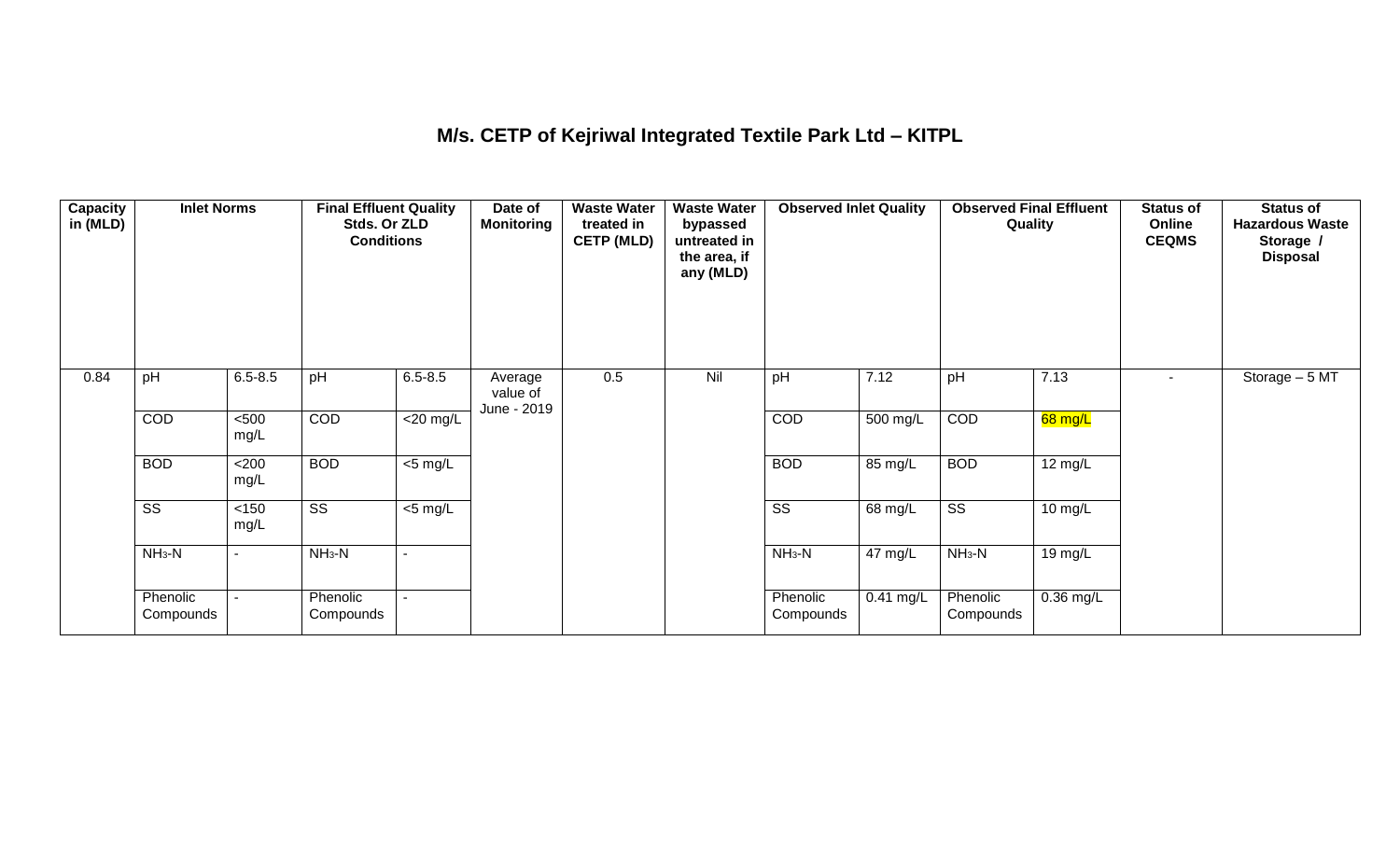## **M/s. CETP of Kejriwal Integrated Textile Park Ltd – KITPL**

| <b>Capacity</b><br>in (MLD) | <b>Inlet Norms</b>     |                | <b>Final Effluent Quality</b><br>Stds. Or ZLD<br><b>Conditions</b> |                     | Date of<br><b>Monitoring</b>       | <b>Waste Water</b><br>treated in<br><b>CETP (MLD)</b> | <b>Waste Water</b><br>bypassed<br>untreated in<br>the area, if<br>any (MLD) | <b>Observed Inlet Quality</b> |             | <b>Observed Final Effluent</b><br>Quality |                   | <b>Status of</b><br>Online<br><b>CEQMS</b> | <b>Status of</b><br><b>Hazardous Waste</b><br>Storage /<br><b>Disposal</b> |
|-----------------------------|------------------------|----------------|--------------------------------------------------------------------|---------------------|------------------------------------|-------------------------------------------------------|-----------------------------------------------------------------------------|-------------------------------|-------------|-------------------------------------------|-------------------|--------------------------------------------|----------------------------------------------------------------------------|
| 0.84                        | pH                     | $6.5 - 8.5$    | pH                                                                 | $6.5 - 8.5$         | Average<br>value of<br>June - 2019 | 0.5                                                   | Nil                                                                         | pH                            | 7.12        | pH                                        | 7.13              | $\sim$                                     | Storage - 5 MT                                                             |
|                             | COD                    | $500$<br>mg/L  | COD                                                                | $<$ 20 mg/L         |                                    |                                                       |                                                                             | COD                           | 500 mg/L    | COD                                       | 68 mg/L           |                                            |                                                                            |
|                             | <b>BOD</b>             | <200<br>mg/L   | <b>BOD</b>                                                         | $\overline{5}$ mg/L |                                    |                                                       |                                                                             | <b>BOD</b>                    | 85 mg/L     | <b>BOD</b>                                | $12 \text{ mg/L}$ |                                            |                                                                            |
|                             | $\overline{\text{ss}}$ | $<150$<br>mg/L | $\overline{\text{ss}}$                                             | $\overline{5}$ mg/L |                                    |                                                       |                                                                             | $\overline{\text{ss}}$        | 68 mg/L     | $\overline{\text{ss}}$                    | 10 mg/L           |                                            |                                                                            |
|                             | $NH3-N$                | $\blacksquare$ | $NH3-N$                                                            |                     |                                    |                                                       |                                                                             | $NH3-N$                       | 47 mg/L     | $NH_3-N$                                  | 19 mg/L           |                                            |                                                                            |
|                             | Phenolic<br>Compounds  | $\blacksquare$ | Phenolic<br>Compounds                                              |                     |                                    |                                                       |                                                                             | Phenolic<br>Compounds         | $0.41$ mg/L | Phenolic<br>Compounds                     | $0.36$ mg/L       |                                            |                                                                            |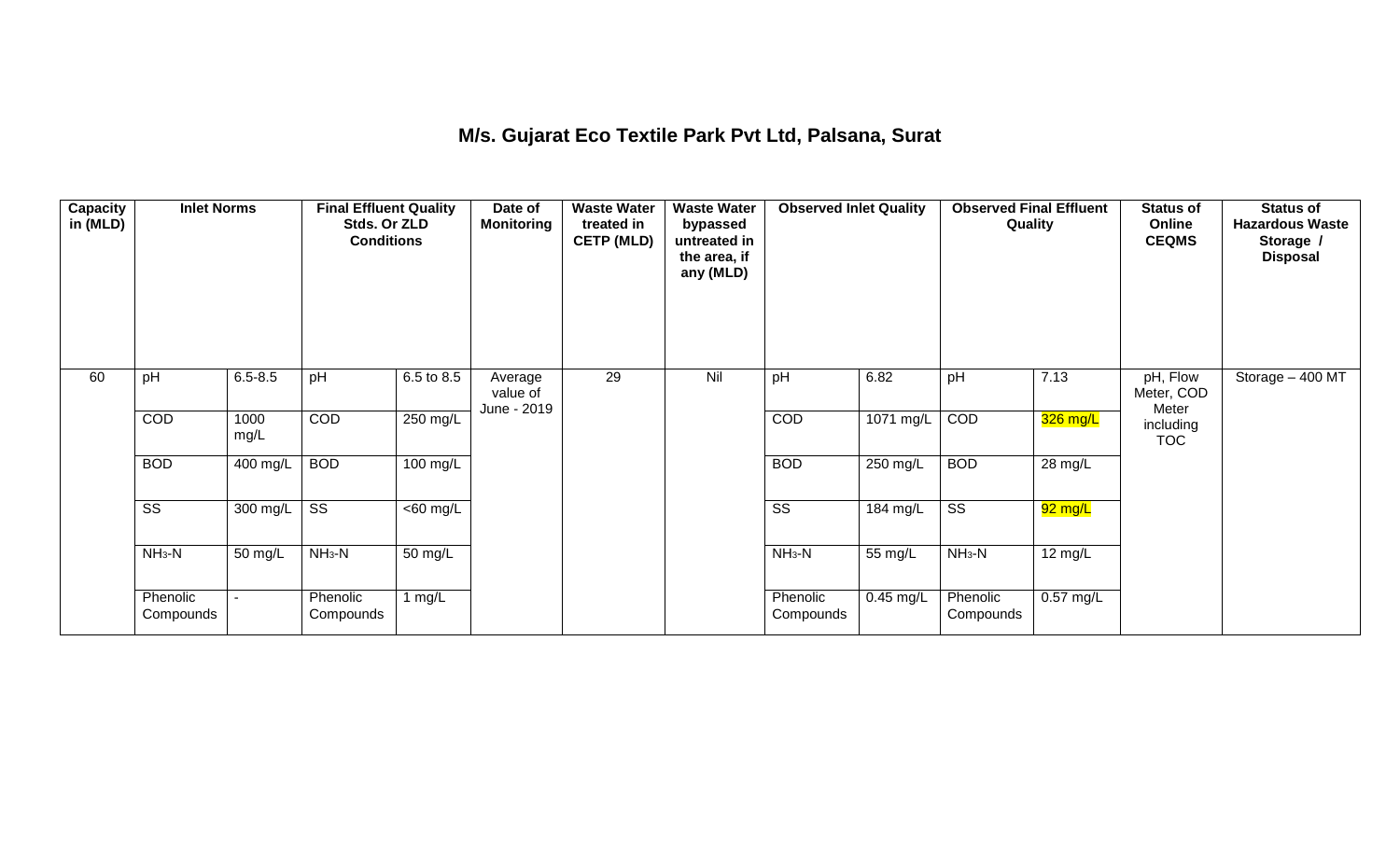### **M/s. Gujarat Eco Textile Park Pvt Ltd, Palsana, Surat**

| Capacity<br>in (MLD) | <b>Inlet Norms</b>     |              | <b>Final Effluent Quality</b><br>Stds. Or ZLD<br><b>Conditions</b> |                      | Date of<br><b>Monitoring</b>       | <b>Waste Water</b><br>treated in<br><b>CETP (MLD)</b> | <b>Waste Water</b><br>bypassed<br>untreated in<br>the area, if<br>any (MLD) | <b>Observed Inlet Quality</b> |             | <b>Observed Final Effluent</b><br>Quality |             | <b>Status of</b><br>Online<br><b>CEQMS</b> | <b>Status of</b><br><b>Hazardous Waste</b><br>Storage /<br><b>Disposal</b> |
|----------------------|------------------------|--------------|--------------------------------------------------------------------|----------------------|------------------------------------|-------------------------------------------------------|-----------------------------------------------------------------------------|-------------------------------|-------------|-------------------------------------------|-------------|--------------------------------------------|----------------------------------------------------------------------------|
| 60                   | pH                     | $6.5 - 8.5$  | pH                                                                 | 6.5 to 8.5           | Average<br>value of<br>June - 2019 | 29                                                    | Nil                                                                         | pH                            | 6.82        | pH                                        | 7.13        | pH, Flow<br>Meter, COD<br>Meter            | Storage - 400 MT                                                           |
|                      | COD                    | 1000<br>mg/L | <b>COD</b>                                                         | 250 mg/L             |                                    |                                                       |                                                                             | COD                           | $1071$ mg/L | COD                                       | 326 mg/L    | including<br><b>TOC</b>                    |                                                                            |
|                      | <b>BOD</b>             | 400 mg/L     | <b>BOD</b>                                                         | $100$ mg/L           |                                    |                                                       |                                                                             | <b>BOD</b>                    | $250$ mg/L  | <b>BOD</b>                                | 28 mg/L     |                                            |                                                                            |
|                      | $\overline{\text{ss}}$ | 300 mg/L     | $\overline{\text{SS}}$                                             | $\overline{60}$ mg/L |                                    |                                                       |                                                                             | $\overline{\text{ss}}$        | 184 mg/L    | $\overline{\text{ss}}$                    | 92 mg/L     |                                            |                                                                            |
|                      | $NH3-N$                | 50 mg/L      | $NH3-N$                                                            | $\overline{50}$ mg/L |                                    |                                                       |                                                                             | $NH3-N$                       | 55 mg/L     | $NH_3-N$                                  | 12 mg/L     |                                            |                                                                            |
|                      | Phenolic<br>Compounds  |              | Phenolic<br>Compounds                                              | 1 $mg/L$             |                                    |                                                       |                                                                             | Phenolic<br>Compounds         | $0.45$ mg/L | Phenolic<br>Compounds                     | $0.57$ mg/L |                                            |                                                                            |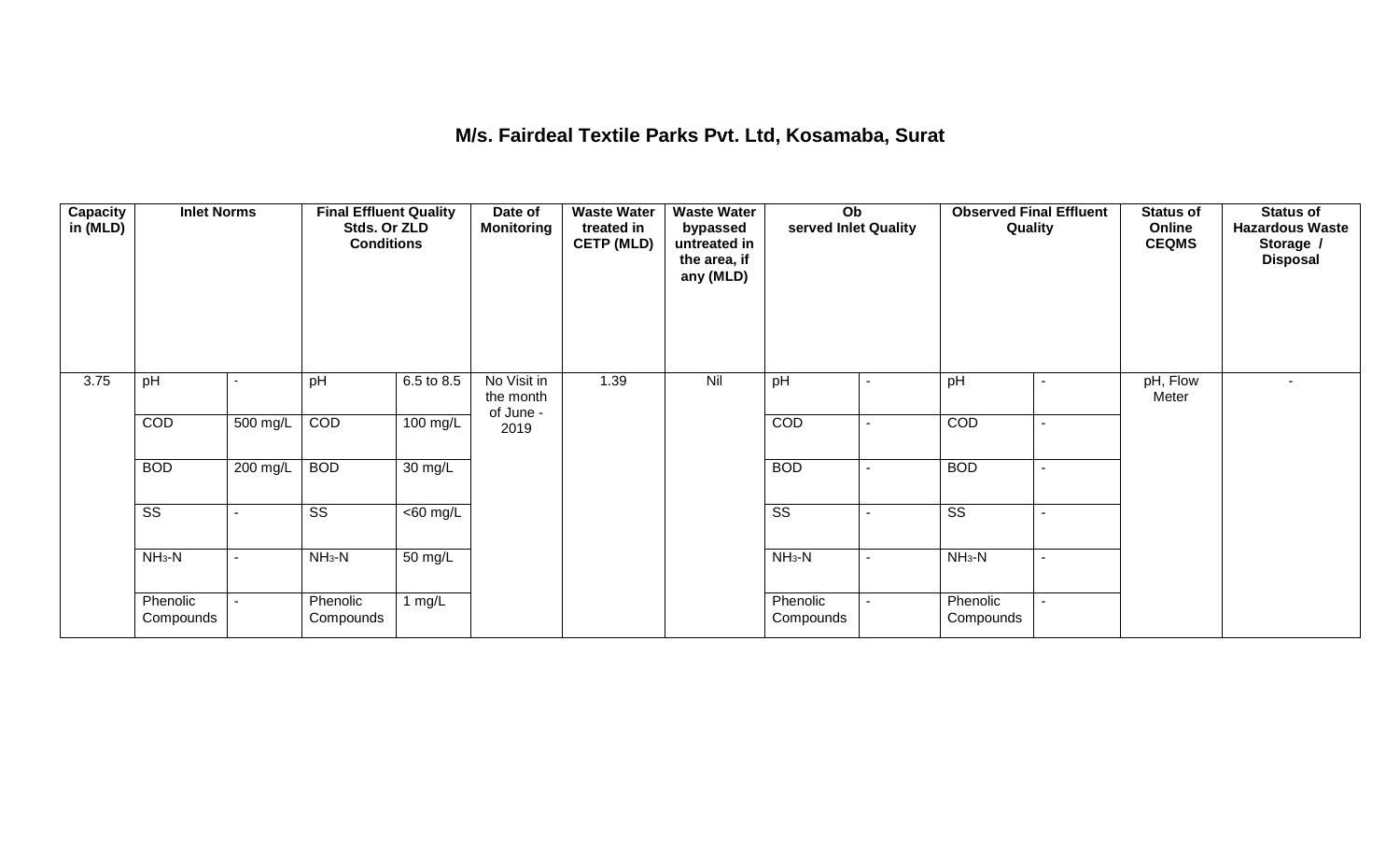### **M/s. Fairdeal Textile Parks Pvt. Ltd, Kosamaba, Surat**

| <b>Capacity</b><br>in (MLD) | <b>Inlet Norms</b>     |          | <b>Final Effluent Quality</b><br>Stds. Or ZLD<br><b>Conditions</b> |                      | Date of<br><b>Monitoring</b>          | <b>Waste Water</b><br>treated in<br><b>CETP (MLD)</b> | <b>Waste Water</b><br>bypassed<br>untreated in<br>the area, if<br>any (MLD) | Ob<br>served Inlet Quality |                | <b>Observed Final Effluent</b><br>Quality | <b>Status of</b><br>Online<br><b>CEQMS</b> | <b>Status of</b><br><b>Hazardous Waste</b><br>Storage /<br><b>Disposal</b> |
|-----------------------------|------------------------|----------|--------------------------------------------------------------------|----------------------|---------------------------------------|-------------------------------------------------------|-----------------------------------------------------------------------------|----------------------------|----------------|-------------------------------------------|--------------------------------------------|----------------------------------------------------------------------------|
| 3.75                        | pH                     |          | pH                                                                 | 6.5 to 8.5           | No Visit in<br>the month<br>of June - | 1.39                                                  | Nil                                                                         | pH                         |                | pH                                        | pH, Flow<br>Meter                          |                                                                            |
|                             | COD                    | 500 mg/L | COD                                                                | 100 mg/L             | 2019                                  |                                                       |                                                                             | COD                        |                | COD                                       |                                            |                                                                            |
|                             | <b>BOD</b>             | 200 mg/L | <b>BOD</b>                                                         | $\overline{30}$ mg/L |                                       |                                                       |                                                                             | <b>BOD</b>                 |                | <b>BOD</b>                                |                                            |                                                                            |
|                             | $\overline{\text{ss}}$ |          | $\overline{\text{ss}}$                                             | $\overline{60}$ mg/L |                                       |                                                       |                                                                             | $\overline{\text{ss}}$     |                | $\overline{\text{ss}}$                    |                                            |                                                                            |
|                             | $NH3-N$                | ۰        | $NH3-N$                                                            | $\overline{50}$ mg/L |                                       |                                                       |                                                                             | $NH_3-N$                   | $\blacksquare$ | $NH3-N$                                   |                                            |                                                                            |
|                             | Phenolic<br>Compounds  |          | Phenolic<br>Compounds                                              | 1 $mg/L$             |                                       |                                                       |                                                                             | Phenolic<br>Compounds      |                | Phenolic<br>Compounds                     |                                            |                                                                            |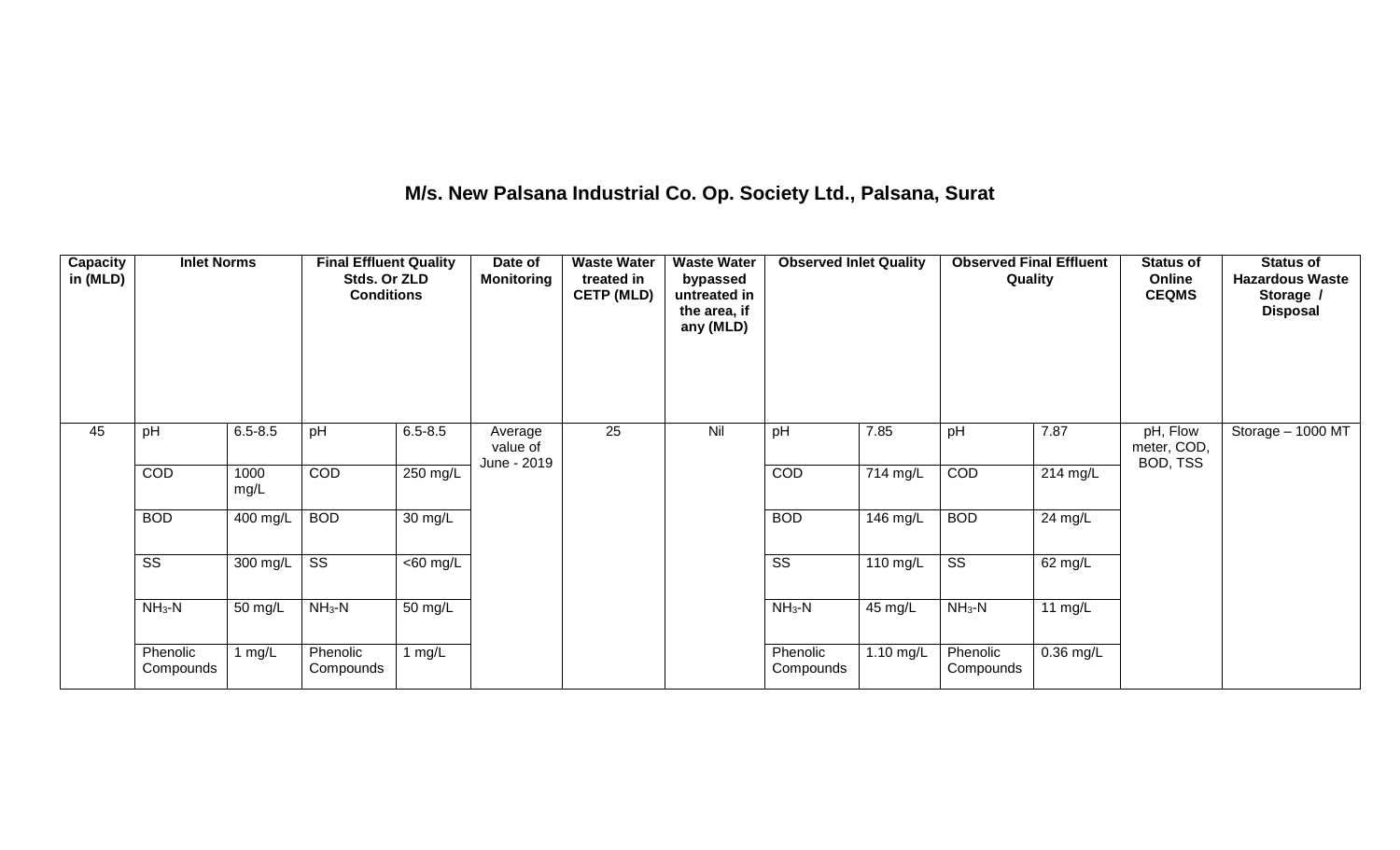## **M/s. New Palsana Industrial Co. Op. Society Ltd., Palsana, Surat**

| <b>Capacity</b><br>in (MLD) | <b>Inlet Norms</b>     |              | <b>Final Effluent Quality</b><br>Stds. Or ZLD<br><b>Conditions</b> |                      | Date of<br><b>Monitoring</b>       | <b>Waste Water</b><br>treated in<br><b>CETP (MLD)</b> | <b>Waste Water</b><br>bypassed<br>untreated in<br>the area, if<br>any (MLD) | <b>Observed Inlet Quality</b> |                      | <b>Observed Final Effluent</b><br>Quality |             | <b>Status of</b><br>Online<br><b>CEQMS</b> | <b>Status of</b><br><b>Hazardous Waste</b><br>Storage /<br><b>Disposal</b> |
|-----------------------------|------------------------|--------------|--------------------------------------------------------------------|----------------------|------------------------------------|-------------------------------------------------------|-----------------------------------------------------------------------------|-------------------------------|----------------------|-------------------------------------------|-------------|--------------------------------------------|----------------------------------------------------------------------------|
| 45                          | pH                     | $6.5 - 8.5$  | pH                                                                 | $6.5 - 8.5$          | Average<br>value of<br>June - 2019 | 25                                                    | Nil                                                                         | pH                            | 7.85                 | pH                                        | 7.87        | pH, Flow<br>meter, COD,<br>BOD, TSS        | Storage $-1000$ MT                                                         |
|                             | COD                    | 1000<br>mg/L | COD                                                                | 250 mg/L             |                                    |                                                       |                                                                             | COD                           | 714 mg/L             | COD                                       | 214 mg/L    |                                            |                                                                            |
|                             | <b>BOD</b>             | 400 mg/L     | <b>BOD</b>                                                         | $\overline{30}$ mg/L |                                    |                                                       |                                                                             | <b>BOD</b>                    | 146 mg/L             | <b>BOD</b>                                | 24 mg/L     |                                            |                                                                            |
|                             | $\overline{\text{ss}}$ | 300 mg/L     | $\overline{\text{SS}}$                                             | $<$ 60 mg/L          |                                    |                                                       |                                                                             | $\overline{\text{ss}}$        | 110 mg/L             | $\overline{\text{ss}}$                    | 62 mg/L     |                                            |                                                                            |
|                             | $NH3-N$                | 50 mg/L      | $NH3-N$                                                            | $\overline{50}$ mg/L |                                    |                                                       |                                                                             | $NH3-N$                       | $\overline{45}$ mg/L | $NH3-N$                                   | 11 $mg/L$   |                                            |                                                                            |
|                             | Phenolic<br>Compounds  | 1 $mg/L$     | Phenolic<br>Compounds                                              | 1 $mg/L$             |                                    |                                                       |                                                                             | Phenolic<br>Compounds         | 1.10 mg/L            | Phenolic<br>Compounds                     | $0.36$ mg/L |                                            |                                                                            |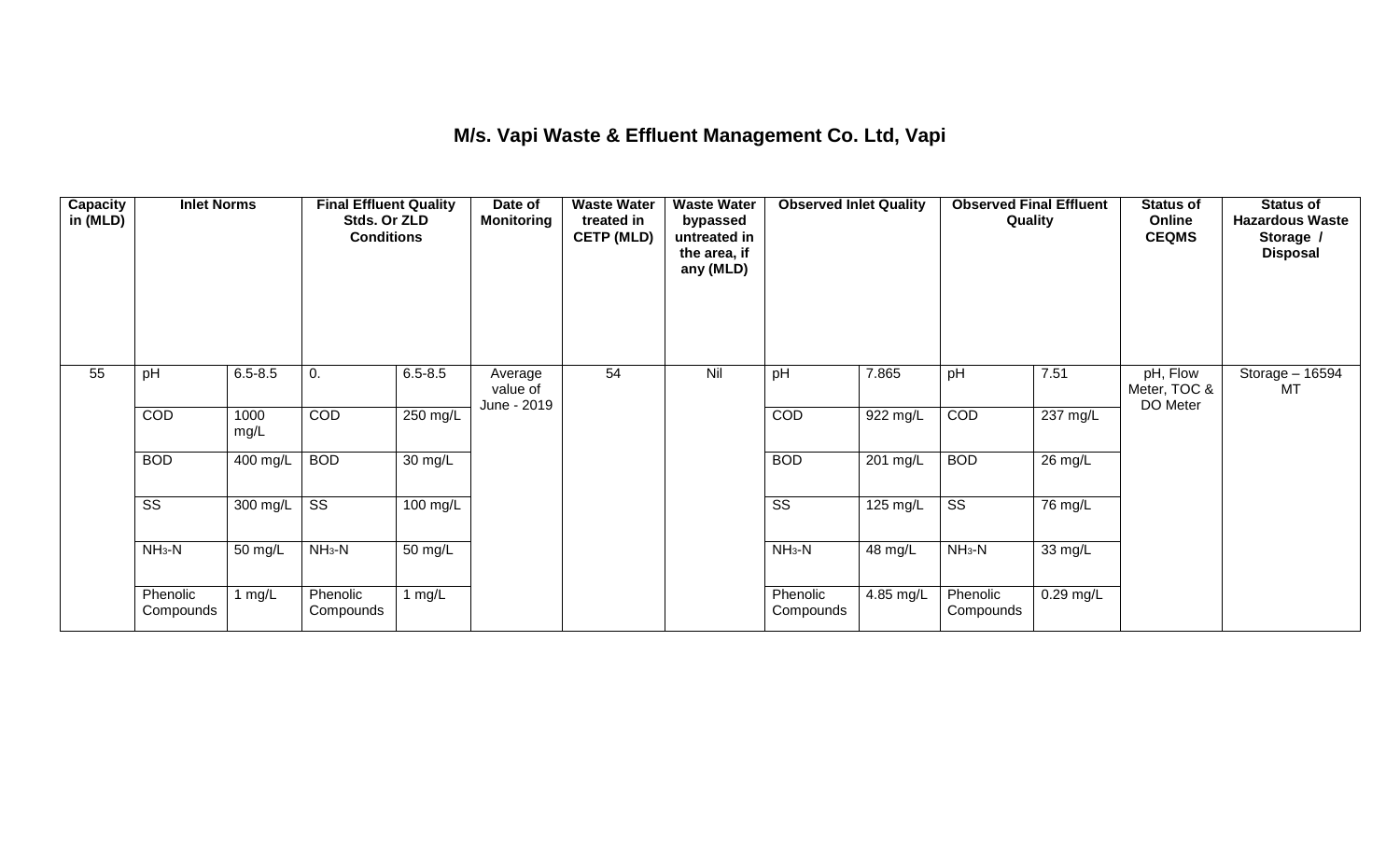## **M/s. Vapi Waste & Effluent Management Co. Ltd, Vapi**

| <b>Capacity</b><br>in (MLD) | <b>Inlet Norms</b><br>pH<br>$6.5 - 8.5$ |              | <b>Final Effluent Quality</b><br>Stds. Or ZLD<br><b>Conditions</b> |                      | Date of<br><b>Monitoring</b>       | <b>Waste Water</b><br>treated in<br><b>CETP (MLD)</b> | <b>Waste Water</b><br>bypassed<br>untreated in<br>the area, if<br>any (MLD) | <b>Observed Inlet Quality</b> |           | <b>Observed Final Effluent</b><br>Quality |             | <b>Status of</b><br>Online<br><b>CEQMS</b> | <b>Status of</b><br><b>Hazardous Waste</b><br>Storage /<br><b>Disposal</b> |
|-----------------------------|-----------------------------------------|--------------|--------------------------------------------------------------------|----------------------|------------------------------------|-------------------------------------------------------|-----------------------------------------------------------------------------|-------------------------------|-----------|-------------------------------------------|-------------|--------------------------------------------|----------------------------------------------------------------------------|
| 55                          |                                         |              | 0.                                                                 | $6.5 - 8.5$          | Average<br>value of<br>June - 2019 | 54                                                    | Nil                                                                         | pH                            | 7.865     | pH                                        | 7.51        | pH, Flow<br>Meter, TOC &<br>DO Meter       | Storage - 16594<br>МT                                                      |
|                             | COD                                     | 1000<br>mg/L | COD                                                                | 250 mg/L             |                                    |                                                       |                                                                             | COD                           | 922 mg/L  | COD                                       | 237 mg/L    |                                            |                                                                            |
|                             | <b>BOD</b>                              | $400$ mg/L   | <b>BOD</b>                                                         | $\overline{30}$ mg/L |                                    |                                                       |                                                                             | <b>BOD</b>                    | 201 mg/L  | <b>BOD</b>                                | 26 mg/L     |                                            |                                                                            |
|                             | $\overline{\text{SS}}$                  | 300 mg/L     | SS                                                                 | 100 mg/L             |                                    |                                                       |                                                                             | $\overline{\text{SS}}$        | 125 mg/L  | $\overline{\text{ss}}$                    | 76 mg/L     |                                            |                                                                            |
|                             | $NH3-N$                                 | 50 mg/L      | $NH3-N$                                                            | $\overline{50}$ mg/L |                                    |                                                       |                                                                             | $NH3-N$                       | 48 mg/L   | $NH_3-N$                                  | 33 mg/L     |                                            |                                                                            |
|                             | Phenolic<br>Compounds                   | 1 $mg/L$     | Phenolic<br>Compounds                                              | 1 $mg/L$             |                                    |                                                       |                                                                             | Phenolic<br>Compounds         | 4.85 mg/L | Phenolic<br>Compounds                     | $0.29$ mg/L |                                            |                                                                            |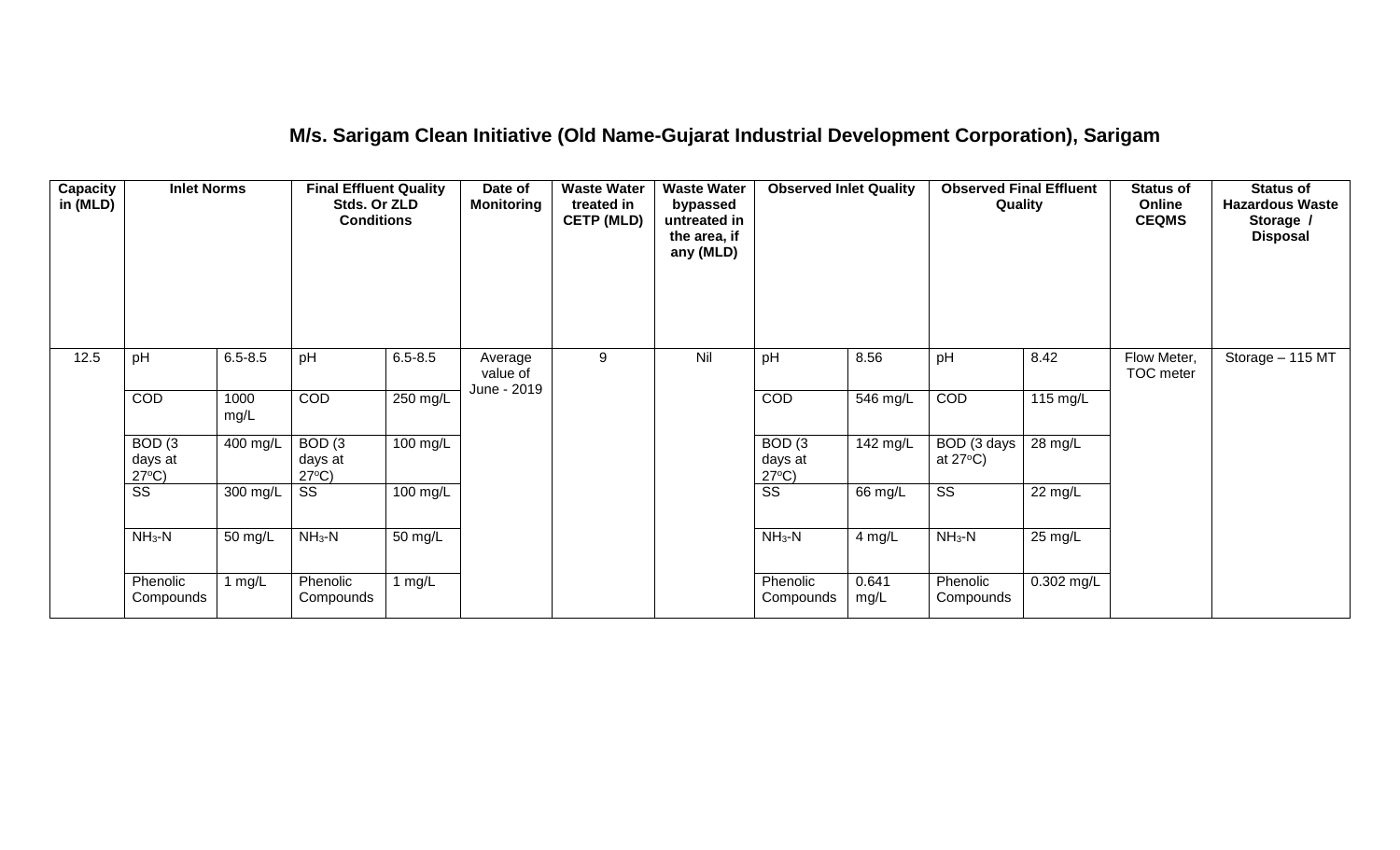## **M/s. Sarigam Clean Initiative (Old Name-Gujarat Industrial Development Corporation), Sarigam**

| <b>Capacity</b><br>in (MLD) | <b>Inlet Norms</b>                              |              | <b>Final Effluent Quality</b><br>Stds. Or ZLD<br><b>Conditions</b> |                      | Date of<br><b>Monitoring</b>       | <b>Waste Water</b><br>treated in<br><b>CETP (MLD)</b> | <b>Waste Water</b><br>bypassed<br>untreated in<br>the area, if<br>any (MLD) | <b>Observed Inlet Quality</b>                   |               | <b>Observed Final Effluent</b><br>Quality |              | <b>Status of</b><br>Online<br><b>CEQMS</b> | <b>Status of</b><br><b>Hazardous Waste</b><br>Storage /<br><b>Disposal</b> |
|-----------------------------|-------------------------------------------------|--------------|--------------------------------------------------------------------|----------------------|------------------------------------|-------------------------------------------------------|-----------------------------------------------------------------------------|-------------------------------------------------|---------------|-------------------------------------------|--------------|--------------------------------------------|----------------------------------------------------------------------------|
| 12.5                        | pH                                              | $6.5 - 8.5$  | pH                                                                 | $6.5 - 8.5$          | Average<br>value of<br>June - 2019 | 9                                                     | Nil                                                                         | pH                                              | 8.56          | pH                                        | 8.42         | Flow Meter,<br>TOC meter                   | Storage - 115 MT                                                           |
|                             | COD                                             | 1000<br>mg/L | <b>COD</b>                                                         | 250 mg/L             |                                    |                                                       |                                                                             | <b>COD</b>                                      | 546 mg/L      | COD                                       | 115 mg/L     |                                            |                                                                            |
|                             | BOD <sub>(3</sub><br>days at<br>$27^{\circ}C$ ) | 400 mg/L     | BOD <sub>(3</sub><br>days at<br>$27^{\circ}C$ )                    | 100 mg/L             |                                    |                                                       |                                                                             | BOD <sub>(3</sub><br>days at<br>$27^{\circ}C$ ) | 142 mg/L      | BOD (3 days<br>at $27^{\circ}$ C)         | 28 mg/L      |                                            |                                                                            |
|                             | SS                                              | 300 mg/L     | SS                                                                 | 100 mg/L             |                                    |                                                       |                                                                             | $\overline{\text{ss}}$                          | 66 mg/L       | $\overline{\text{ss}}$                    | 22 mg/L      |                                            |                                                                            |
|                             | $NH3-N$                                         | 50 mg/L      | $NH3-N$                                                            | $\overline{50}$ mg/L |                                    |                                                       |                                                                             | $NH3-N$                                         | $4$ mg/L      | $NH3-N$                                   | 25 mg/L      |                                            |                                                                            |
|                             | Phenolic<br>Compounds                           | 1 mg/L       | Phenolic<br>Compounds                                              | 1 mg/ $L$            |                                    |                                                       |                                                                             | Phenolic<br>Compounds                           | 0.641<br>mg/L | Phenolic<br>Compounds                     | $0.302$ mg/L |                                            |                                                                            |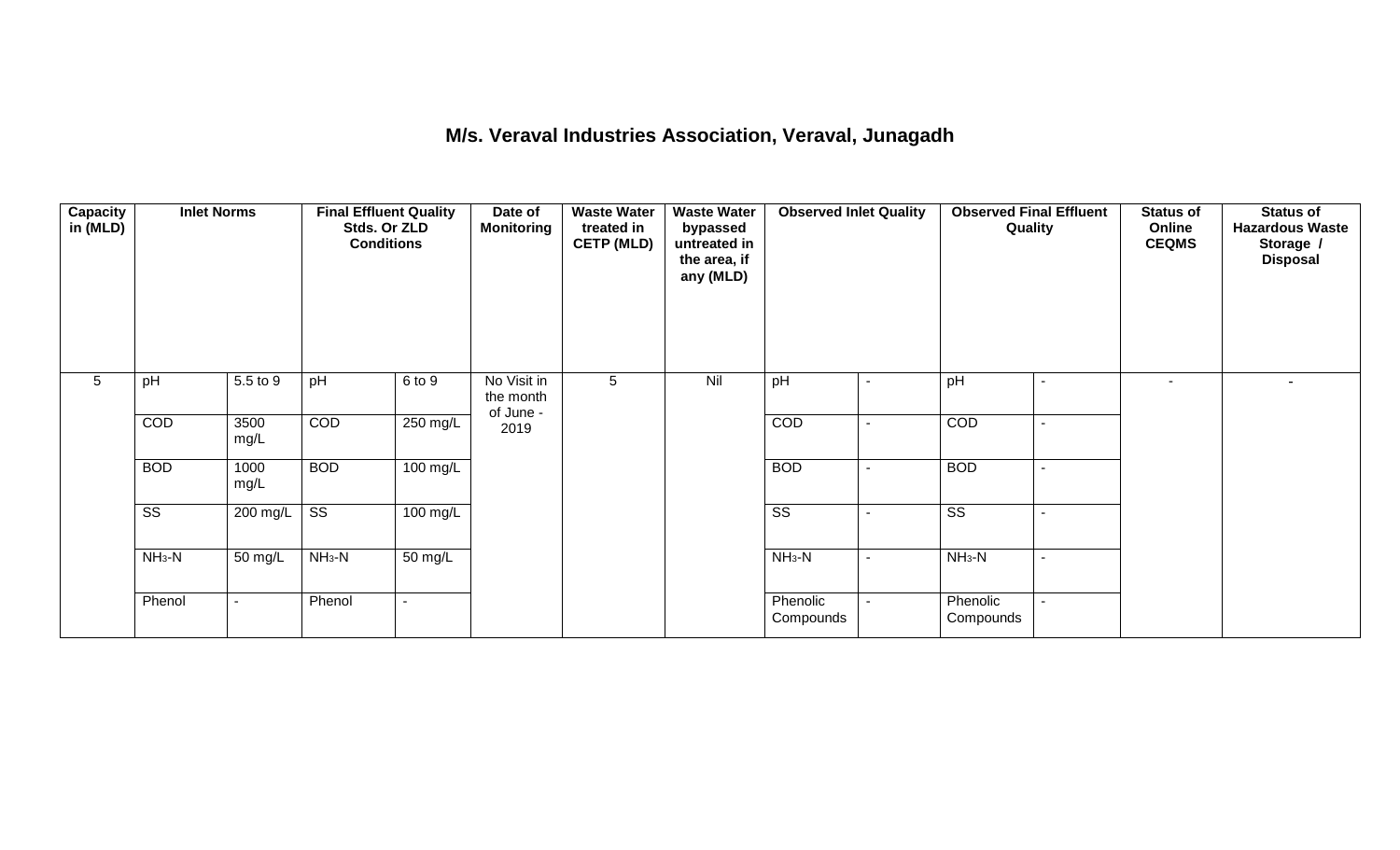### **M/s. Veraval Industries Association, Veraval, Junagadh**

| Capacity<br>in (MLD) | <b>Inlet Norms</b><br>pH |              | <b>Final Effluent Quality</b><br>Stds. Or ZLD<br><b>Conditions</b> |                      | Date of<br><b>Monitoring</b>          | <b>Waste Water</b><br>treated in<br><b>CETP (MLD)</b> | <b>Waste Water</b><br>bypassed<br>untreated in<br>the area, if<br>any (MLD) | <b>Observed Inlet Quality</b> |                          | <b>Observed Final Effluent</b><br>Quality |                          | <b>Status of</b><br>Online<br><b>CEQMS</b> | <b>Status of</b><br><b>Hazardous Waste</b><br>Storage /<br><b>Disposal</b> |
|----------------------|--------------------------|--------------|--------------------------------------------------------------------|----------------------|---------------------------------------|-------------------------------------------------------|-----------------------------------------------------------------------------|-------------------------------|--------------------------|-------------------------------------------|--------------------------|--------------------------------------------|----------------------------------------------------------------------------|
| 5                    |                          | 5.5 to 9     | pH                                                                 | 6 to 9               | No Visit in<br>the month<br>of June - | 5 <sup>5</sup>                                        | Nil                                                                         | pH                            | $\overline{\phantom{a}}$ | pH                                        |                          | $\overline{\phantom{a}}$                   |                                                                            |
|                      | COD                      | 3500<br>mg/L | COD                                                                | $250 \text{ mg/L}$   | 2019                                  |                                                       |                                                                             | COD                           |                          | COD                                       | $\overline{\phantom{a}}$ |                                            |                                                                            |
|                      | <b>BOD</b>               | 1000<br>mg/L | <b>BOD</b>                                                         | $100 \text{ mg/L}$   |                                       |                                                       |                                                                             | <b>BOD</b>                    |                          | <b>BOD</b>                                |                          |                                            |                                                                            |
|                      | $\overline{\text{ss}}$   | 200 mg/L     | $\overline{\text{ss}}$                                             | 100 mg/L             |                                       |                                                       |                                                                             | $\overline{\text{ss}}$        |                          | $\overline{\text{ss}}$                    |                          |                                            |                                                                            |
|                      | $NH3-N$                  | 50 mg/L      | $NH3-N$                                                            | $\overline{50}$ mg/L |                                       |                                                       |                                                                             | $NH_3-N$                      | $\overline{\phantom{a}}$ | $NH3-N$                                   | $\overline{\phantom{a}}$ |                                            |                                                                            |
|                      | Phenol                   | $\sim$       | Phenol                                                             | $\sim$               |                                       |                                                       |                                                                             | Phenolic<br>Compounds         |                          | Phenolic<br>Compounds                     | $\overline{a}$           |                                            |                                                                            |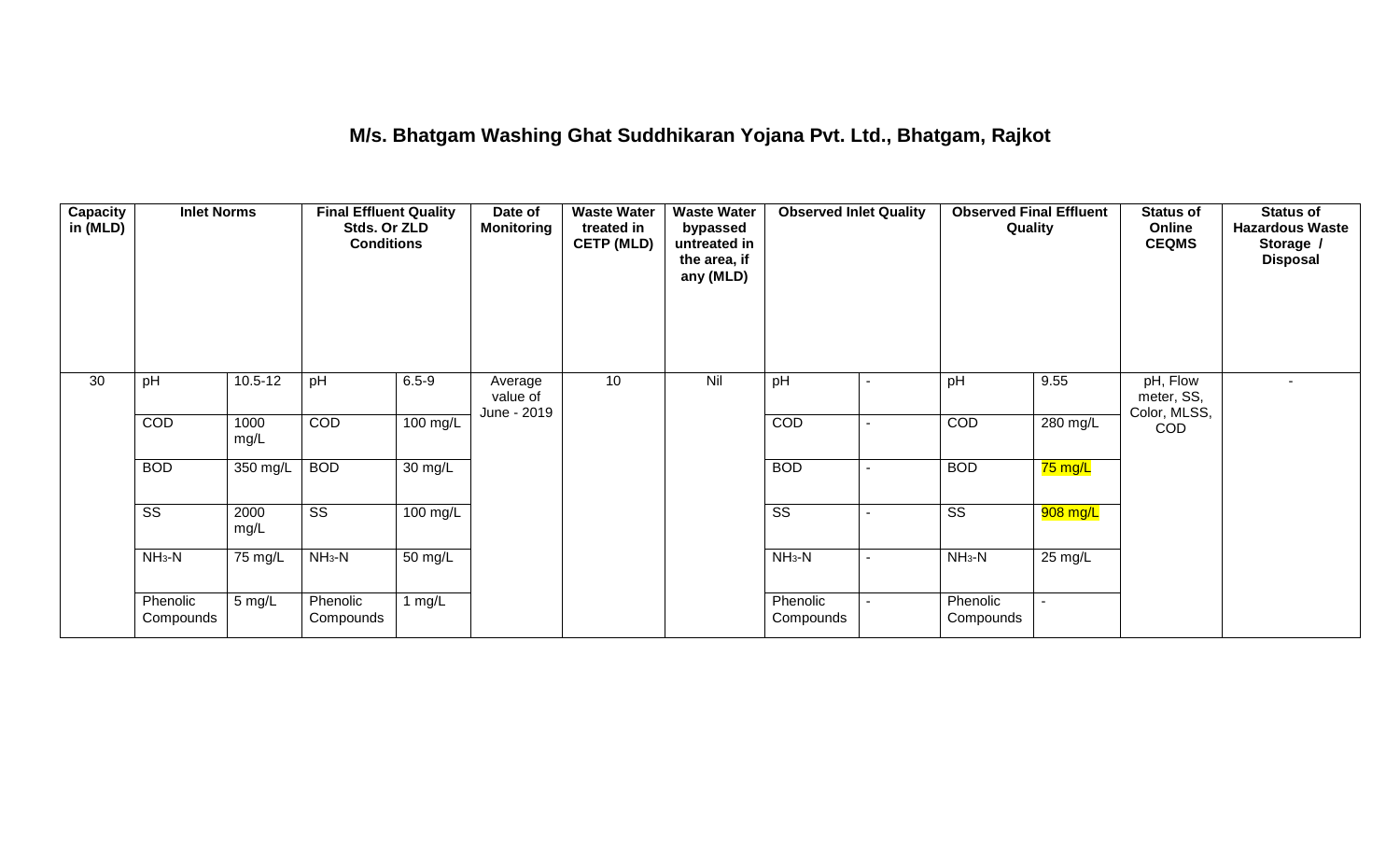### **M/s. Bhatgam Washing Ghat Suddhikaran Yojana Pvt. Ltd., Bhatgam, Rajkot**

| <b>Capacity</b><br>in (MLD) | <b>Inlet Norms</b>     |                      | <b>Final Effluent Quality</b><br>Stds. Or ZLD<br><b>Conditions</b> |                      | Date of<br><b>Monitoring</b>       | <b>Waste Water</b><br>treated in<br><b>CETP (MLD)</b> | <b>Waste Water</b><br>bypassed<br>untreated in<br>the area, if<br>any (MLD) | <b>Observed Inlet Quality</b> |                | <b>Observed Final Effluent</b><br>Quality |           | <b>Status of</b><br>Online<br><b>CEQMS</b> | <b>Status of</b><br><b>Hazardous Waste</b><br>Storage /<br><b>Disposal</b> |
|-----------------------------|------------------------|----------------------|--------------------------------------------------------------------|----------------------|------------------------------------|-------------------------------------------------------|-----------------------------------------------------------------------------|-------------------------------|----------------|-------------------------------------------|-----------|--------------------------------------------|----------------------------------------------------------------------------|
| 30                          | pH                     | $10.5 - 12$          | pH                                                                 | $6.5 - 9$            | Average<br>value of<br>June - 2019 | 10                                                    | Nil                                                                         | pH                            | $\blacksquare$ | pH                                        | 9.55      | pH, Flow<br>meter, SS,<br>Color, MLSS,     |                                                                            |
|                             | COD                    | 1000<br>mg/L         | COD                                                                | 100 mg/L             |                                    |                                                       |                                                                             | COD                           | ۰              | COD                                       | 280 mg/L  | COD                                        |                                                                            |
|                             | <b>BOD</b>             | 350 mg/L             | <b>BOD</b>                                                         | 30 mg/L              |                                    |                                                       |                                                                             | <b>BOD</b>                    | $\blacksquare$ | <b>BOD</b>                                | $75$ mg/L |                                            |                                                                            |
|                             | $\overline{\text{ss}}$ | 2000<br>mg/L         | $\overline{\text{ss}}$                                             | $100$ mg/L           |                                    |                                                       |                                                                             | $\overline{\text{ss}}$        |                | $\overline{\text{ss}}$                    | 908 mg/L  |                                            |                                                                            |
|                             | $NH3-N$                | $75 \,\mathrm{mg/L}$ | $NH3-N$                                                            | $\overline{50}$ mg/L |                                    |                                                       |                                                                             | $NH3-N$                       |                | $NH3-N$                                   | 25 mg/L   |                                            |                                                                            |
|                             | Phenolic<br>Compounds  | 5 mg/L               | Phenolic<br>Compounds                                              | 1 $mg/L$             |                                    |                                                       |                                                                             | Phenolic<br>Compounds         |                | Phenolic<br>Compounds                     |           |                                            |                                                                            |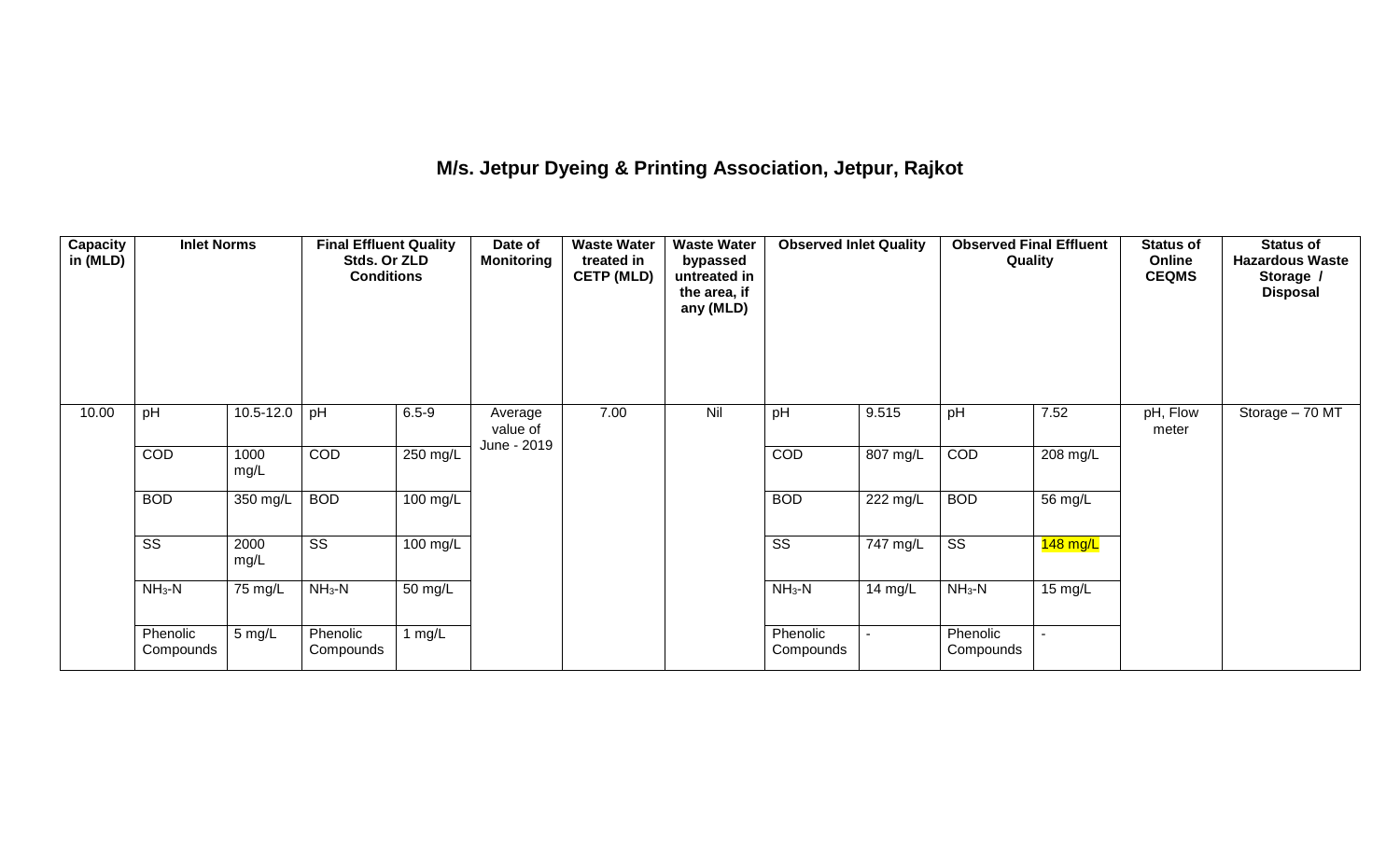# **M/s. Jetpur Dyeing & Printing Association, Jetpur, Rajkot**

| <b>Capacity</b><br>in (MLD) | <b>Inlet Norms</b>     |               | <b>Final Effluent Quality</b><br>Stds. Or ZLD<br><b>Conditions</b> |           | Date of<br><b>Monitoring</b>       | <b>Waste Water</b><br>treated in<br><b>CETP (MLD)</b> | <b>Waste Water</b><br>bypassed<br>untreated in<br>the area, if<br>any (MLD) | <b>Observed Inlet Quality</b> |                          | <b>Observed Final Effluent</b><br>Quality |            | <b>Status of</b><br>Online<br><b>CEQMS</b> | <b>Status of</b><br><b>Hazardous Waste</b><br>Storage /<br><b>Disposal</b> |
|-----------------------------|------------------------|---------------|--------------------------------------------------------------------|-----------|------------------------------------|-------------------------------------------------------|-----------------------------------------------------------------------------|-------------------------------|--------------------------|-------------------------------------------|------------|--------------------------------------------|----------------------------------------------------------------------------|
| 10.00                       | pH                     | $10.5 - 12.0$ | pH                                                                 | $6.5 - 9$ | Average<br>value of<br>June - 2019 | 7.00                                                  | Nil                                                                         | pH                            | 9.515                    | pH                                        | 7.52       | pH, Flow<br>meter                          | Storage - 70 MT                                                            |
|                             | COD                    | 1000<br>mg/L  | COD                                                                | 250 mg/L  |                                    |                                                       |                                                                             | COD                           | 807 mg/L                 | COD                                       | 208 mg/L   |                                            |                                                                            |
|                             | <b>BOD</b>             | 350 mg/L      | <b>BOD</b>                                                         | 100 mg/L  |                                    |                                                       |                                                                             | <b>BOD</b>                    | 222 mg/L                 | <b>BOD</b>                                | 56 mg/L    |                                            |                                                                            |
|                             | $\overline{\text{SS}}$ | 2000<br>mg/L  | $\overline{\text{ss}}$                                             | 100 mg/L  |                                    |                                                       |                                                                             | $\overline{\text{ss}}$        | 747 mg/L                 | $\overline{\text{ss}}$                    | $148$ mg/L |                                            |                                                                            |
|                             | $NH_3-N$               | 75 mg/L       | $NH3-N$                                                            | 50 mg/L   |                                    |                                                       |                                                                             | $NH_3-N$                      | 14 mg/L                  | $NH_3-N$                                  | 15 mg/L    |                                            |                                                                            |
|                             | Phenolic<br>Compounds  | 5 mg/L        | Phenolic<br>Compounds                                              | 1 mg/L    |                                    |                                                       |                                                                             | Phenolic<br>Compounds         | $\overline{\phantom{0}}$ | Phenolic<br>Compounds                     |            |                                            |                                                                            |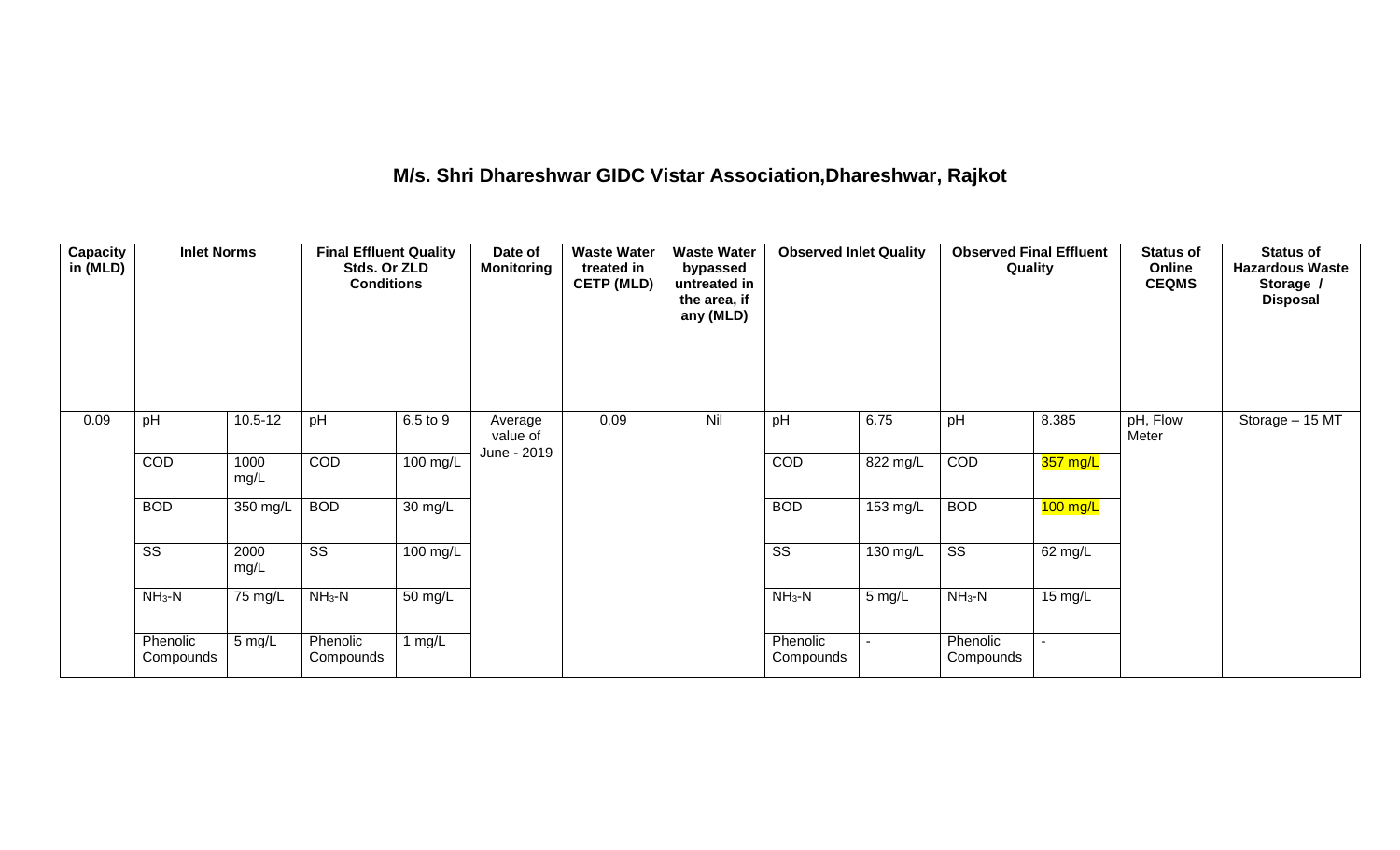# **M/s. Shri Dhareshwar GIDC Vistar Association,Dhareshwar, Rajkot**

| Capacity<br>in (MLD) | <b>Inlet Norms</b>     | $10.5 - 12$<br>pH |                        | <b>Final Effluent Quality</b><br>Stds. Or ZLD<br><b>Conditions</b> |                                    | <b>Waste Water</b><br>treated in<br><b>CETP (MLD)</b> | <b>Waste Water</b><br>bypassed<br>untreated in<br>the area, if<br>any (MLD) | <b>Observed Inlet Quality</b> |                    | <b>Observed Final Effluent</b><br>Quality |            | <b>Status of</b><br>Online<br><b>CEQMS</b> | <b>Status of</b><br><b>Hazardous Waste</b><br>Storage /<br><b>Disposal</b> |
|----------------------|------------------------|-------------------|------------------------|--------------------------------------------------------------------|------------------------------------|-------------------------------------------------------|-----------------------------------------------------------------------------|-------------------------------|--------------------|-------------------------------------------|------------|--------------------------------------------|----------------------------------------------------------------------------|
| 0.09                 |                        |                   | pH                     | 6.5 to 9                                                           | Average<br>value of<br>June - 2019 | 0.09                                                  | Nil                                                                         | pH                            | 6.75               | pH                                        | 8.385      | pH, Flow<br>Meter                          | Storage - 15 MT                                                            |
|                      | COD                    | 1000<br>mg/L      | COD                    | 100 mg/L                                                           |                                    |                                                       |                                                                             | COD                           | 822 mg/L           | COD                                       | 357 mg/L   |                                            |                                                                            |
|                      | <b>BOD</b>             | 350 mg/L          | <b>BOD</b>             | $30 \text{ mg/L}$                                                  |                                    |                                                       |                                                                             | <b>BOD</b>                    | $153 \text{ mg/L}$ | <b>BOD</b>                                | $100$ mg/L |                                            |                                                                            |
|                      | $\overline{\text{ss}}$ | 2000<br>mg/L      | $\overline{\text{ss}}$ | 100 mg/L                                                           |                                    |                                                       |                                                                             | $\overline{\text{ss}}$        | 130 mg/L           | $\overline{\text{SS}}$                    | 62 mg/L    |                                            |                                                                            |
|                      | $NH3-N$<br>75 mg/L     | $NH3-N$           | $\overline{50}$ mg/L   |                                                                    |                                    |                                                       | $NH3-N$                                                                     | 5 mg/L                        | $NH3-N$            | 15 mg/L                                   |            |                                            |                                                                            |
|                      | Phenolic<br>Compounds  | 5 mg/L            | Phenolic<br>Compounds  | 1 $mg/L$                                                           |                                    |                                                       |                                                                             | Phenolic<br>Compounds         |                    | Phenolic<br>Compounds                     |            |                                            |                                                                            |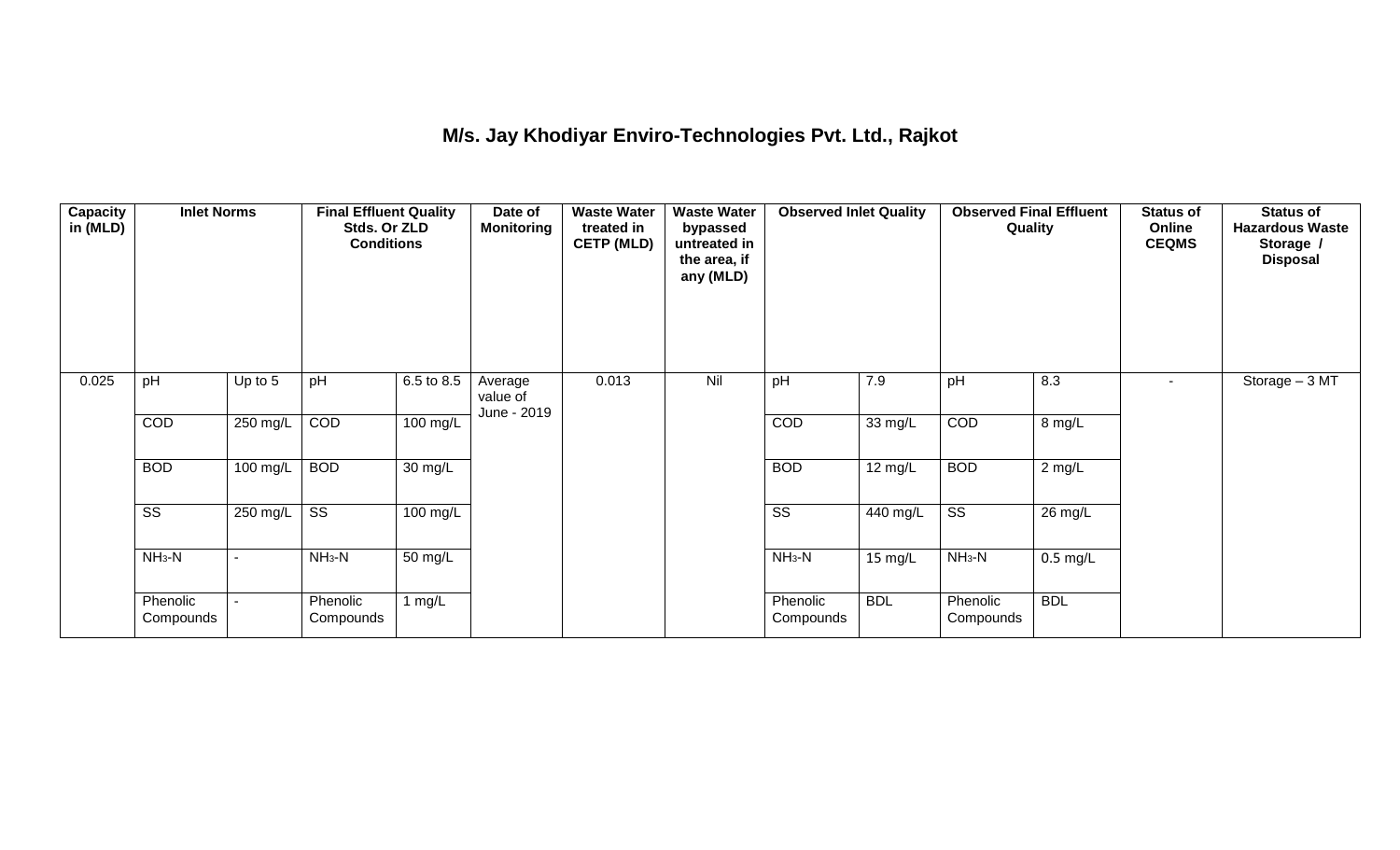## **M/s. Jay Khodiyar Enviro-Technologies Pvt. Ltd., Rajkot**

| <b>Capacity</b><br>in (MLD) | <b>Inlet Norms</b><br>pH<br>Up to 5 |                          | <b>Final Effluent Quality</b><br>Stds. Or ZLD<br><b>Conditions</b> |            | Date of<br><b>Monitoring</b>       | <b>Waste Water</b><br>treated in<br><b>CETP (MLD)</b> | <b>Waste Water</b><br>bypassed<br>untreated in<br>the area, if<br>any (MLD) | <b>Observed Inlet Quality</b> |                   | <b>Observed Final Effluent</b><br>Quality |            | <b>Status of</b><br>Online<br><b>CEQMS</b> | <b>Status of</b><br><b>Hazardous Waste</b><br>Storage /<br><b>Disposal</b> |
|-----------------------------|-------------------------------------|--------------------------|--------------------------------------------------------------------|------------|------------------------------------|-------------------------------------------------------|-----------------------------------------------------------------------------|-------------------------------|-------------------|-------------------------------------------|------------|--------------------------------------------|----------------------------------------------------------------------------|
| 0.025                       |                                     |                          | pH                                                                 | 6.5 to 8.5 | Average<br>value of<br>June - 2019 | 0.013                                                 | Nil                                                                         | pH                            | 7.9               | pH                                        | 8.3        | $\blacksquare$                             | Storage - 3 MT                                                             |
|                             | COD                                 | 250 mg/L                 | COD                                                                | 100 mg/L   |                                    |                                                       |                                                                             | COD                           | 33 mg/L           | COD                                       | 8 mg/L     |                                            |                                                                            |
|                             | <b>BOD</b>                          | 100 mg/L                 | <b>BOD</b>                                                         | 30 mg/L    |                                    |                                                       |                                                                             | <b>BOD</b>                    | $12 \text{ mg/L}$ | <b>BOD</b>                                | $2$ mg/L   |                                            |                                                                            |
|                             | $\overline{\text{ss}}$              | 250 mg/L                 | $\overline{\text{ss}}$                                             | 100 mg/L   |                                    |                                                       |                                                                             | $\overline{\text{ss}}$        | 440 mg/L          | $\overline{\text{ss}}$                    | 26 mg/L    |                                            |                                                                            |
|                             | $NH3-N$                             | $\overline{\phantom{a}}$ | $NH3-N$                                                            | 50 mg/L    |                                    |                                                       |                                                                             | $NH3-N$                       | 15 mg/L           | $NH3-N$                                   | $0.5$ mg/L |                                            |                                                                            |
|                             | Phenolic<br>Compounds               |                          | Phenolic<br>Compounds                                              | 1 $mg/L$   |                                    |                                                       |                                                                             | Phenolic<br>Compounds         | <b>BDL</b>        | Phenolic<br>Compounds                     | <b>BDL</b> |                                            |                                                                            |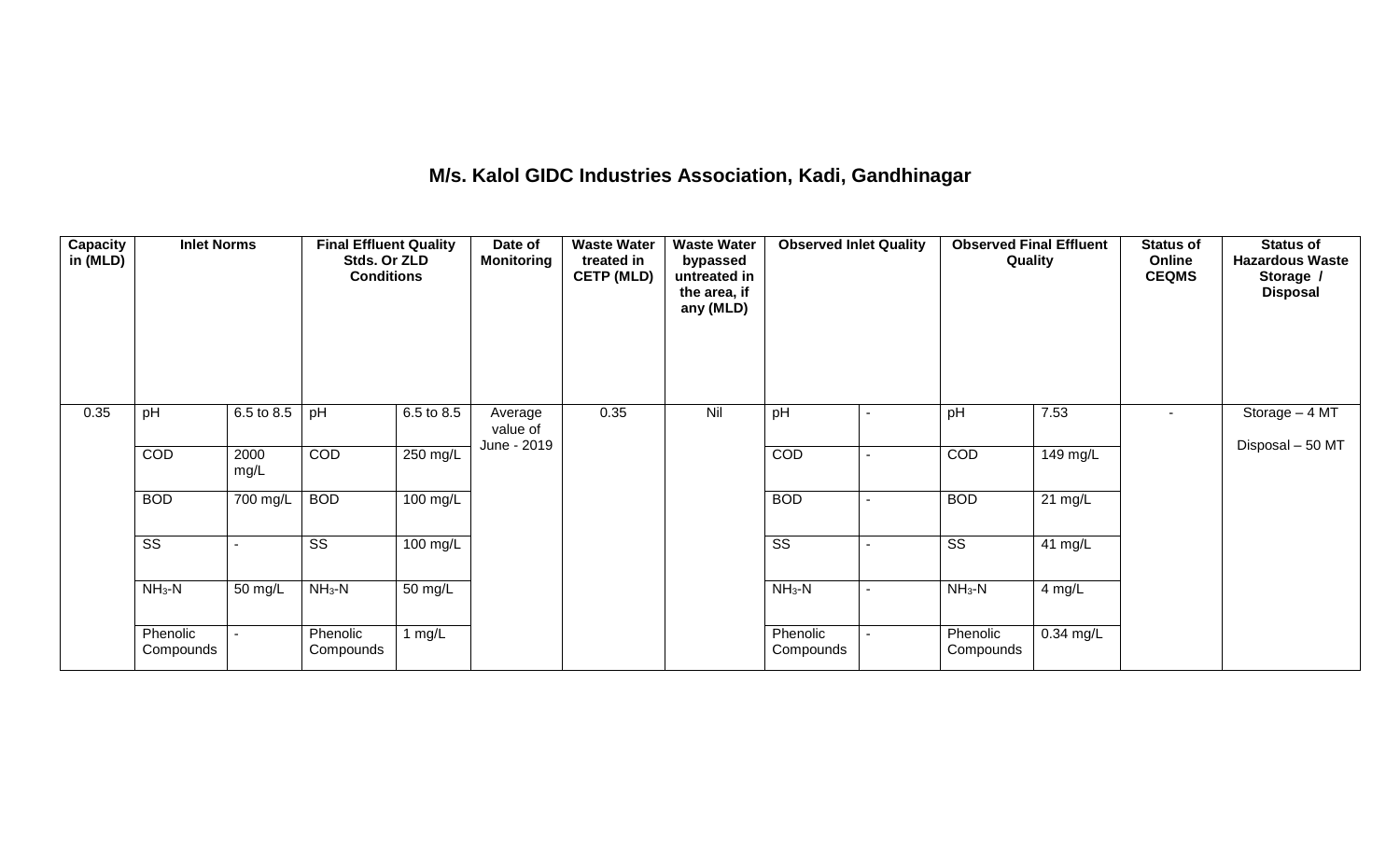### **M/s. Kalol GIDC Industries Association, Kadi, Gandhinagar**

| <b>Capacity</b><br>in (MLD) | <b>Inlet Norms</b>     |              |                        | <b>Final Effluent Quality</b><br>Stds. Or ZLD<br><b>Conditions</b> | Date of<br><b>Monitoring</b> | <b>Waste Water</b><br>treated in<br><b>CETP (MLD)</b> | <b>Waste Water</b><br>bypassed<br>untreated in<br>the area, if<br>any (MLD) | <b>Observed Inlet Quality</b> |                | <b>Observed Final Effluent</b><br>Quality |           | <b>Status of</b><br>Online<br><b>CEQMS</b> | <b>Status of</b><br><b>Hazardous Waste</b><br>Storage /<br><b>Disposal</b> |
|-----------------------------|------------------------|--------------|------------------------|--------------------------------------------------------------------|------------------------------|-------------------------------------------------------|-----------------------------------------------------------------------------|-------------------------------|----------------|-------------------------------------------|-----------|--------------------------------------------|----------------------------------------------------------------------------|
| 0.35                        | pH                     | 6.5 to 8.5   | pH                     | 6.5 to 8.5                                                         | Average<br>value of          | 0.35                                                  | Nil                                                                         | pH                            |                | pH                                        | 7.53      | ٠                                          | Storage - 4 MT                                                             |
|                             | COD                    | 2000<br>mg/L | COD                    | 250 mg/L                                                           | June - 2019                  |                                                       |                                                                             | COD                           | $\blacksquare$ | COD                                       | 149 mg/L  |                                            | Disposal - 50 MT                                                           |
|                             | <b>BOD</b>             | 700 mg/L     | <b>BOD</b>             | $100 \text{ mg/L}$                                                 |                              |                                                       |                                                                             | <b>BOD</b>                    |                | <b>BOD</b>                                | 21 mg/L   |                                            |                                                                            |
|                             | $\overline{\text{ss}}$ |              | $\overline{\text{SS}}$ | $\overline{100}$ mg/L                                              |                              |                                                       |                                                                             | $\overline{\text{ss}}$        |                | $\overline{\text{ss}}$                    | 41 mg/L   |                                            |                                                                            |
|                             | $NH3-N$                | 50 mg/L      | $NH3-N$                | 50 mg/L                                                            |                              |                                                       |                                                                             | $NH_3-N$                      | $\blacksquare$ | $NH3-N$                                   | 4 mg/L    |                                            |                                                                            |
|                             | Phenolic<br>Compounds  |              | Phenolic<br>Compounds  | 1 $mg/L$                                                           |                              |                                                       |                                                                             | Phenolic<br>Compounds         |                | Phenolic<br>Compounds                     | 0.34 mg/L |                                            |                                                                            |